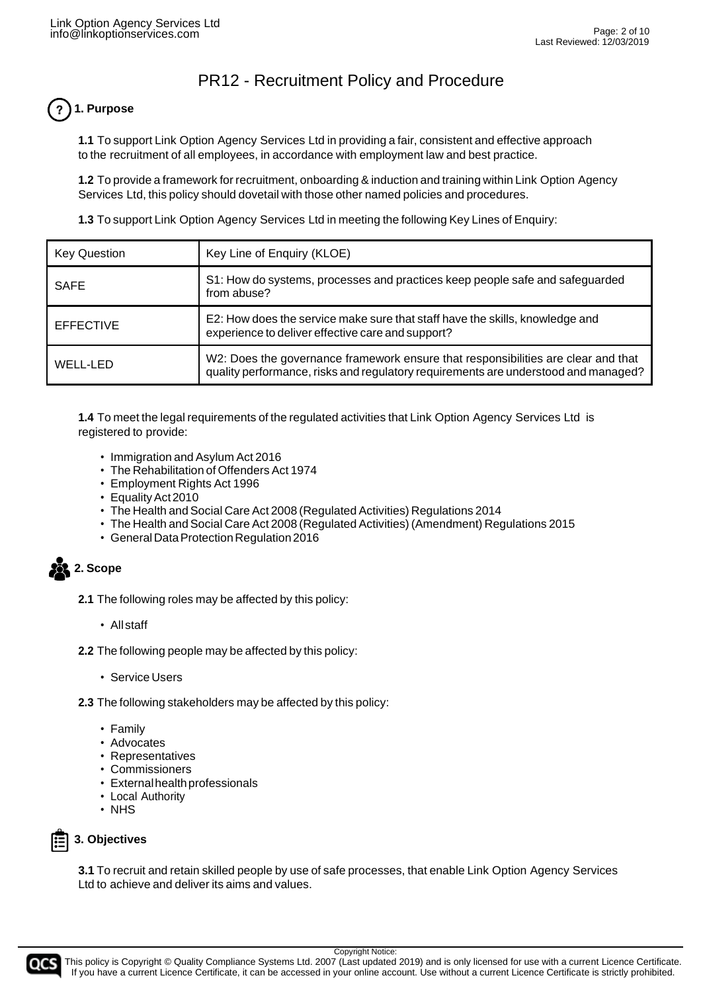# **1. Purpose**

**1.1** To support Link Option Agency Services Ltd in providing a fair, consistent and effective approach to the recruitment of all employees, in accordance with employment law and best practice.

**1.2** To provide a framework for recruitment, onboarding & induction and training within Link Option Agency Services Ltd, this policy should dovetail with those other named policies and procedures.

**1.3** To support Link Option Agency Services Ltd in meeting the following Key Lines of Enquiry:

| <b>Key Question</b> | Key Line of Enquiry (KLOE)                                                                                                                                              |
|---------------------|-------------------------------------------------------------------------------------------------------------------------------------------------------------------------|
| <b>SAFE</b>         | S1: How do systems, processes and practices keep people safe and safeguarded<br>from abuse?                                                                             |
| <b>EFFECTIVE</b>    | E2: How does the service make sure that staff have the skills, knowledge and<br>experience to deliver effective care and support?                                       |
| WELL-LED            | W2: Does the governance framework ensure that responsibilities are clear and that<br>quality performance, risks and regulatory requirements are understood and managed? |

**1.4** To meet the legal requirements of the regulated activities that Link Option Agency Services Ltd is registered to provide:

- Immigration and Asylum Act 2016
- The Rehabilitation of Offenders Act 1974
- Employment Rights Act 1996
- Equality Act 2010
- The Health and Social Care Act 2008 (Regulated Activities) Regulations 2014
- The Health and Social Care Act 2008 (Regulated Activities) (Amendment) Regulations 2015
- General Data Protection Regulation 2016

**23.** 2. Scope

- **2.1** The following roles may be affected by this policy:
	- All staff
- **2.2** The following people may be affected by this policy:
	- Service Users

**2.3** The following stakeholders may be affected by this policy:

- Family
- Advocates
- Representatives
- Commissioners
- Externalhealthprofessionals
- Local Authority
- NHS

### **3. Objectives**

**3.1** To recruit and retain skilled people by use of safe processes, that enable Link Option Agency Services Ltd to achieve and deliver its aims and values.

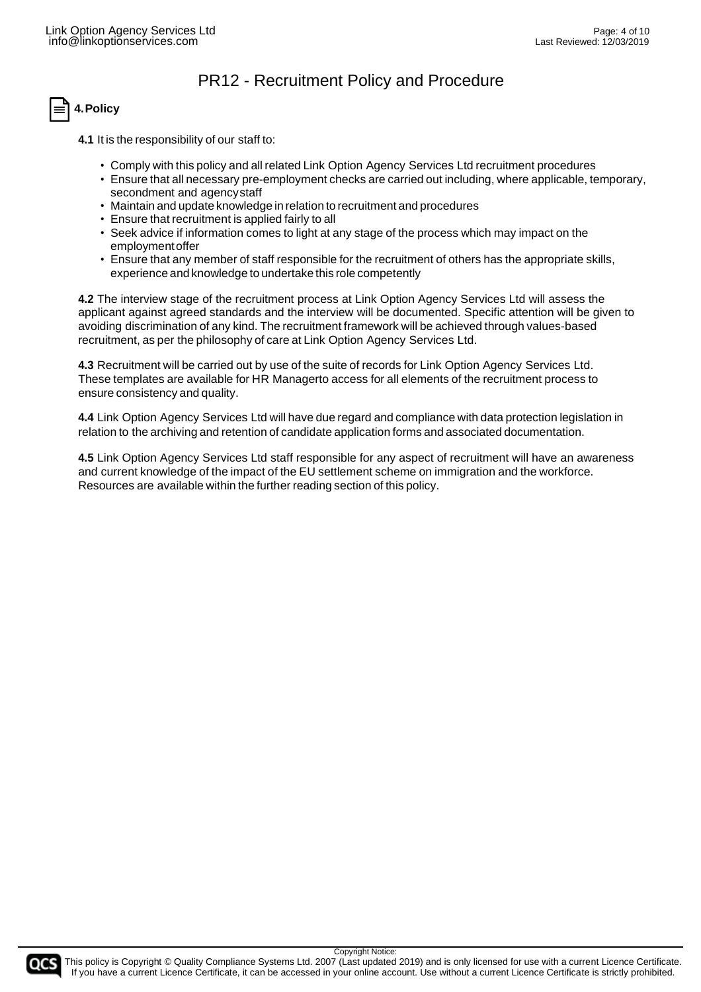# **4.Policy**

**4.1** It is the responsibility of our staff to:

- Comply with this policy and all related Link Option Agency Services Ltd recruitment procedures
- Ensure that all necessary pre-employment checks are carried out including, where applicable, temporary, secondment and agencystaff
- Maintain and update knowledge in relation to recruitment and procedures
- Ensure that recruitment is applied fairly to all
- Seek advice if information comes to light at any stage of the process which may impact on the employmentoffer
- Ensure that any member of staff responsible for the recruitment of others has the appropriate skills, experience and knowledge to undertake this role competently

**4.2** The interview stage of the recruitment process at Link Option Agency Services Ltd will assess the applicant against agreed standards and the interview will be documented. Specific attention will be given to avoiding discrimination of any kind. The recruitment framework will be achieved through values-based recruitment, as per the philosophy of care at Link Option Agency Services Ltd.

**4.3** Recruitment will be carried out by use of the suite of records for Link Option Agency Services Ltd. These templates are available for HR Managerto access for all elements of the recruitment process to ensure consistency and quality.

**4.4** Link Option Agency Services Ltd will have due regard and compliance with data protection legislation in relation to the archiving and retention of candidate application forms and associated documentation.

**4.5** Link Option Agency Services Ltd staff responsible for any aspect of recruitment will have an awareness and current knowledge of the impact of the EU settlement scheme on immigration and the workforce. Resources are available within the further reading section of this policy.

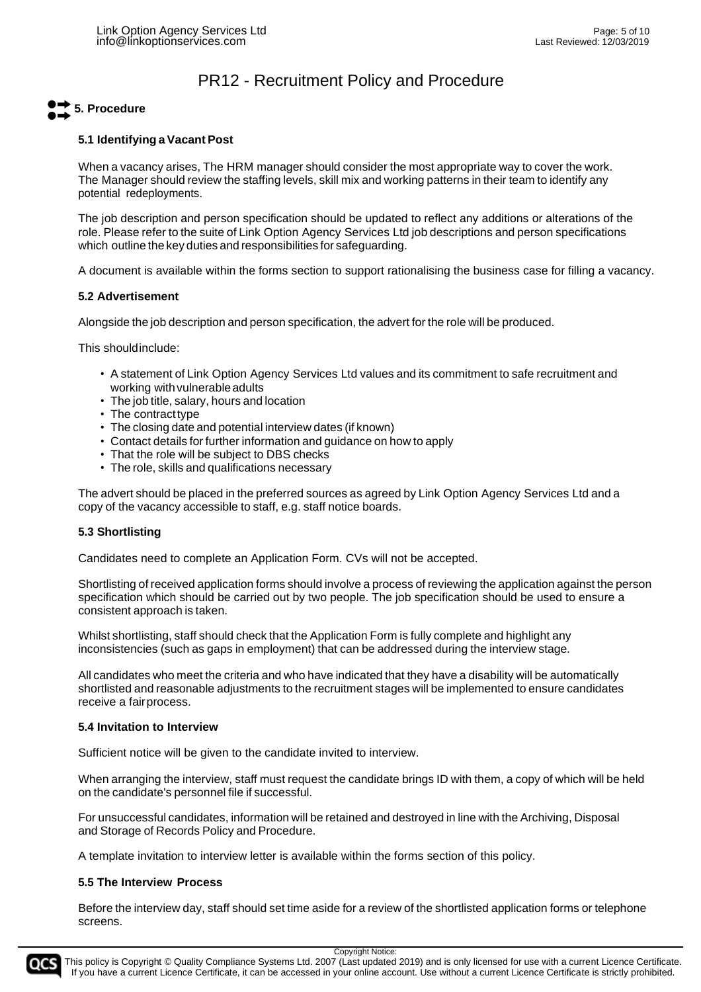# **5. Procedure**

#### **5.1 Identifying a Vacant Post**

When a vacancy arises, The HRM manager should consider the most appropriate way to cover the work. The Manager should review the staffing levels, skill mix and working patterns in their team to identify any potential redeployments.

The job description and person specification should be updated to reflect any additions or alterations of the role. Please refer to the suite of Link Option Agency Services Ltd job descriptions and person specifications which outline the key duties and responsibilities for safeguarding.

A document is available within the forms section to support rationalising the business case for filling a vacancy.

#### **5.2 Advertisement**

Alongside the job description and person specification, the advert for the role will be produced.

This shouldinclude:

- A statement of Link Option Agency Services Ltd values and its commitment to safe recruitment and working with vulnerable adults
- The job title, salary, hours and location
- The contract type
- The closing date and potential interview dates (if known)
- Contact details for further information and guidance on how to apply
- That the role will be subject to DBS checks
- The role, skills and qualifications necessary

The advert should be placed in the preferred sources as agreed by Link Option Agency Services Ltd and a copy of the vacancy accessible to staff, e.g. staff notice boards.

#### **5.3 Shortlisting**

Candidates need to complete an Application Form. CVs will not be accepted.

Shortlisting of received application forms should involve a process of reviewing the application against the person specification which should be carried out by two people. The job specification should be used to ensure a consistent approach is taken.

Whilst shortlisting, staff should check that the Application Form is fully complete and highlight any inconsistencies (such as gaps in employment) that can be addressed during the interview stage.

All candidates who meet the criteria and who have indicated that they have a disability will be automatically shortlisted and reasonable adjustments to the recruitment stages will be implemented to ensure candidates receive a fairprocess.

#### **5.4 Invitation to Interview**

Sufficient notice will be given to the candidate invited to interview.

When arranging the interview, staff must request the candidate brings ID with them, a copy of which will be held on the candidate's personnel file if successful.

For unsuccessful candidates, information will be retained and destroyed in line with the Archiving, Disposal and Storage of Records Policy and Procedure.

A template invitation to interview letter is available within the forms section of this policy.

#### **5.5 The Interview Process**

Before the interview day, staff should set time aside for a review of the shortlisted application forms or telephone screens.

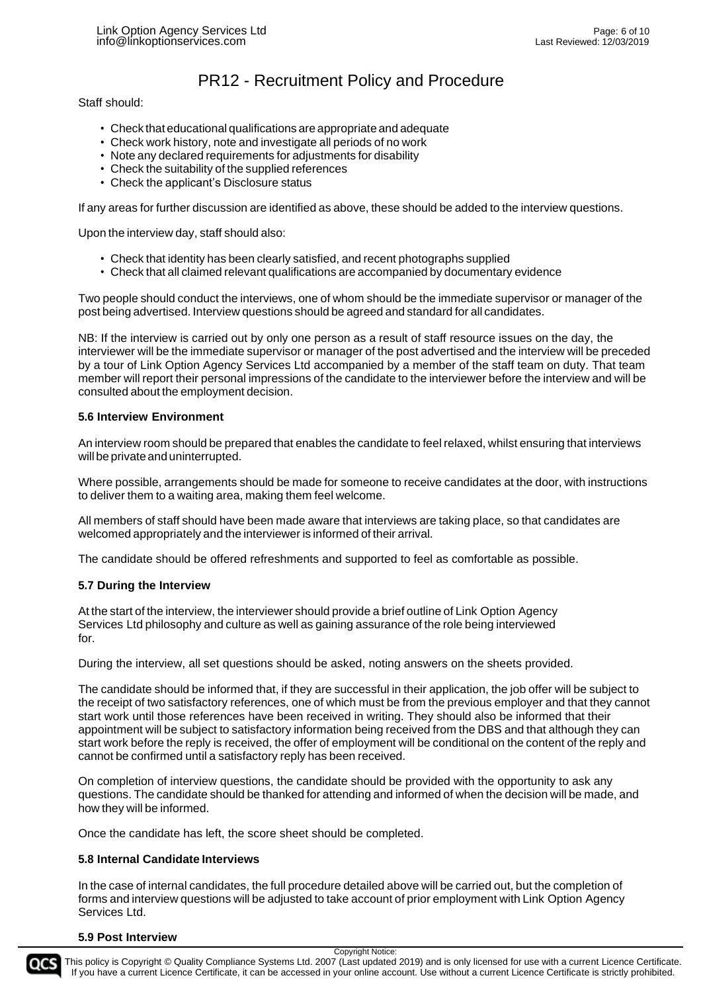#### Staff should:

- Check that educational qualifications are appropriate and adequate
- Check work history, note and investigate all periods of no work
- Note any declared requirements for adjustments for disability
- Check the suitability of the supplied references
- Check the applicant's Disclosure status

If any areas for further discussion are identified as above, these should be added to the interview questions.

Upon the interview day, staff should also:

- Check that identity has been clearly satisfied, and recent photographs supplied
- Check that all claimed relevant qualifications are accompanied by documentary evidence

Two people should conduct the interviews, one of whom should be the immediate supervisor or manager of the post being advertised. Interview questions should be agreed and standard for all candidates.

NB: If the interview is carried out by only one person as a result of staff resource issues on the day, the interviewer will be the immediate supervisor or manager of the post advertised and the interview will be preceded by a tour of Link Option Agency Services Ltd accompanied by a member of the staff team on duty. That team member will report their personal impressions of the candidate to the interviewer before the interview and will be consulted about the employment decision.

#### **5.6 Interview Environment**

An interview room should be prepared that enables the candidate to feel relaxed, whilst ensuring that interviews will be private and uninterrupted.

Where possible, arrangements should be made for someone to receive candidates at the door, with instructions to deliver them to a waiting area, making them feel welcome.

All members of staff should have been made aware that interviews are taking place, so that candidates are welcomed appropriately and the interviewer is informed of their arrival.

The candidate should be offered refreshments and supported to feel as comfortable as possible.

#### **5.7 During the Interview**

At the start of the interview, the interviewer should provide a brief outline of Link Option Agency Services Ltd philosophy and culture as well as gaining assurance of the role being interviewed for.

During the interview, all set questions should be asked, noting answers on the sheets provided.

The candidate should be informed that, if they are successful in their application, the job offer will be subject to the receipt of two satisfactory references, one of which must be from the previous employer and that they cannot start work until those references have been received in writing. They should also be informed that their appointment will be subject to satisfactory information being received from the DBS and that although they can start work before the reply is received, the offer of employment will be conditional on the content of the reply and cannot be confirmed until a satisfactory reply has been received.

On completion of interview questions, the candidate should be provided with the opportunity to ask any questions. The candidate should be thanked for attending and informed of when the decision will be made, and how they will be informed.

Once the candidate has left, the score sheet should be completed.

#### **5.8 Internal Candidate Interviews**

In the case of internal candidates, the full procedure detailed above will be carried out, but the completion of forms and interview questions will be adjusted to take account of prior employment with Link Option Agency Services Ltd.

#### **5.9 Post Interview**

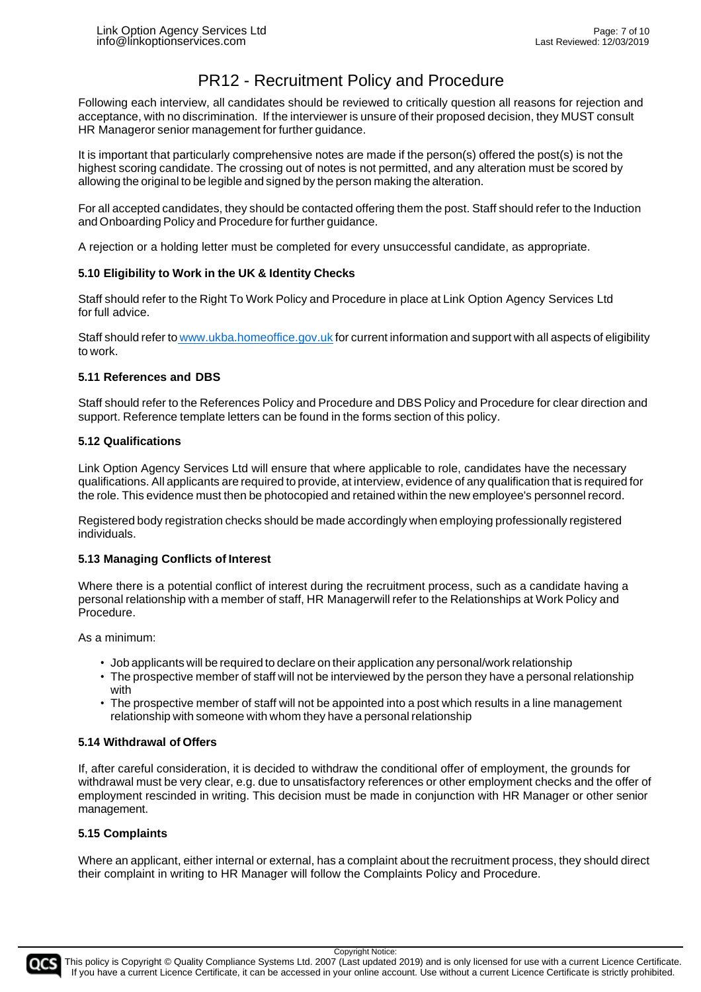Following each interview, all candidates should be reviewed to critically question all reasons for rejection and acceptance, with no discrimination. If the interviewer is unsure of their proposed decision, they MUST consult HR Manageror senior management for further guidance.

It is important that particularly comprehensive notes are made if the person(s) offered the post(s) is not the highest scoring candidate. The crossing out of notes is not permitted, and any alteration must be scored by allowing the original to be legible and signed by the person making the alteration.

For all accepted candidates, they should be contacted offering them the post. Staff should refer to the Induction and Onboarding Policy and Procedure for further guidance.

A rejection or a holding letter must be completed for every unsuccessful candidate, as appropriate.

#### **5.10 Eligibility to Work in the UK & Identity Checks**

Staff should refer to the Right To Work Policy and Procedure in place at Link Option Agency Services Ltd for full advice.

Staff should refer to [www.ukba.homeoffice.gov.uk](http://www.ukba.homeoffice.gov.uk/) for current information and support with all aspects of eligibility to work.

#### **5.11 References and DBS**

Staff should refer to the References Policy and Procedure and DBS Policy and Procedure for clear direction and support. Reference template letters can be found in the forms section of this policy.

#### **5.12 Qualifications**

Link Option Agency Services Ltd will ensure that where applicable to role, candidates have the necessary qualifications. All applicants are required to provide, at interview, evidence of any qualification that is required for the role. This evidence must then be photocopied and retained within the new employee's personnel record.

Registered body registration checks should be made accordingly when employing professionally registered individuals.

#### **5.13 Managing Conflicts of Interest**

Where there is a potential conflict of interest during the recruitment process, such as a candidate having a personal relationship with a member of staff, HR Managerwill refer to the Relationships at Work Policy and Procedure.

As a minimum:

- Job applicants will be required to declare on their application any personal/work relationship
- The prospective member of staff will not be interviewed by the person they have a personal relationship with
- The prospective member of staff will not be appointed into a post which results in a line management relationship with someone with whom they have a personal relationship

#### **5.14 Withdrawal of Offers**

If, after careful consideration, it is decided to withdraw the conditional offer of employment, the grounds for withdrawal must be very clear, e.g. due to unsatisfactory references or other employment checks and the offer of employment rescinded in writing. This decision must be made in conjunction with HR Manager or other senior management.

#### **5.15 Complaints**

Where an applicant, either internal or external, has a complaint about the recruitment process, they should direct their complaint in writing to HR Manager will follow the Complaints Policy and Procedure.

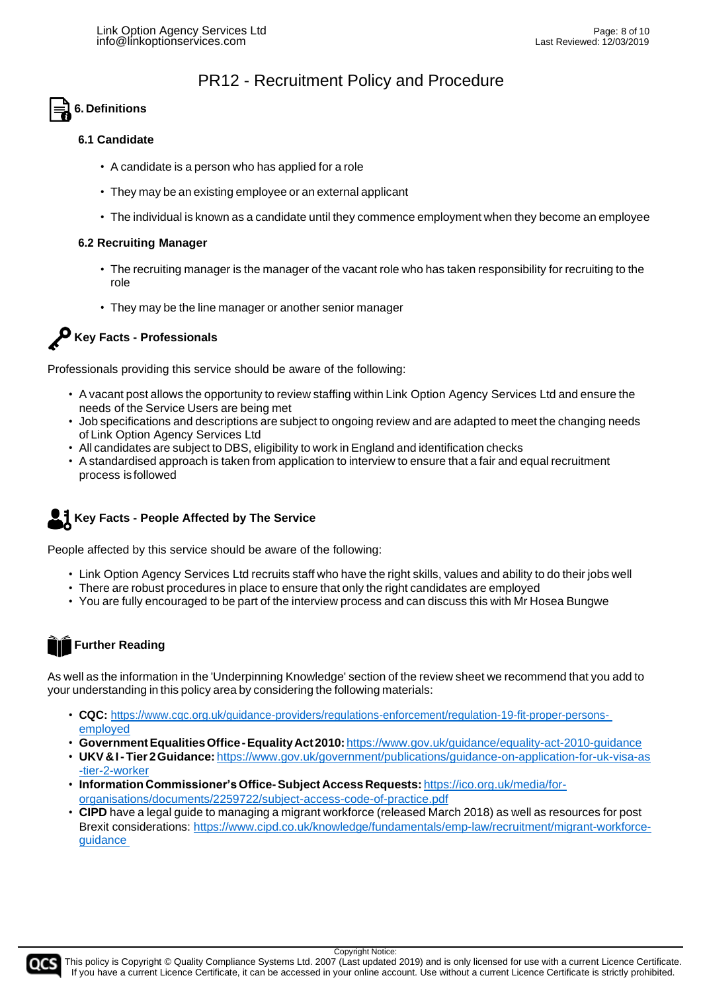### **6. Definitions**

#### **6.1 Candidate**

- A candidate is a person who has applied for a role
- They may be an existing employee or an external applicant
- The individual is known as a candidate until they commence employment when they become an employee

#### **6.2 Recruiting Manager**

- The recruiting manager is the manager of the vacant role who has taken responsibility for recruiting to the role
- They may be the line manager or another senior manager



Professionals providing this service should be aware of the following:

- A vacant post allows the opportunity to review staffing within Link Option Agency Services Ltd and ensure the needs of the Service Users are being met
- Job specifications and descriptions are subject to ongoing review and are adapted to meet the changing needs of Link Option Agency Services Ltd
- All candidates are subject to DBS, eligibility to work in England and identification checks
- A standardised approach is taken from application to interview to ensure that a fair and equal recruitment process is followed

### **Key Facts - People Affected by The Service**

People affected by this service should be aware of the following:

- Link Option Agency Services Ltd recruits staff who have the right skills, values and ability to do their jobs well
- There are robust procedures in place to ensure that only the right candidates are employed
- You are fully encouraged to be part of the interview process and can discuss this with Mr Hosea Bungwe

# **Further Reading**

As well as the information in the 'Underpinning Knowledge' section of the review sheet we recommend that you add to your understanding in this policy area by considering the following materials:

- **CQC:** [https://www.cqc.org.uk/guidance-providers/regulations-enforcement/regulation-19-fit-proper-persons](https://www.cqc.org.uk/guidance-providers/regulations-enforcement/regulation-19-fit-proper-persons-employed)[employed](https://www.cqc.org.uk/guidance-providers/regulations-enforcement/regulation-19-fit-proper-persons-employed)
- **GovernmentEqualitiesOffice-EqualityAct2010:**<https://www.gov.uk/guidance/equality-act-2010-guidance>
- **UKV&I-Tier 2Guidance:** [https://www.gov.uk/government/publications/guidance-on-application-for-uk-visa-as](https://www.gov.uk/government/publications/guidance-on-application-for-uk-visa-as-tier-2-worker) [-tier-2-worker](https://www.gov.uk/government/publications/guidance-on-application-for-uk-visa-as-tier-2-worker)
- **Information Commissioner'sOffice-Subject Access Requests:** [https://ico.org.uk/media/for](https://ico.org.uk/media/for-organisations/documents/2259722/subject-access-code-of-practice.pdf)[organisations/documents/2259722/subject-access-code-of-practice.pdf](https://ico.org.uk/media/for-organisations/documents/2259722/subject-access-code-of-practice.pdf)
- **CIPD** have a legal guide to managing a migrant workforce (released March 2018) as well as resources for post Brexit considerations: [https://www.cipd.co.uk/knowledge/fundamentals/emp-law/recruitment/migrant-workforce](https://www.cipd.co.uk/knowledge/fundamentals/emp-law/recruitment/migrant-workforce-guidance)[guidance](https://www.cipd.co.uk/knowledge/fundamentals/emp-law/recruitment/migrant-workforce-guidance)



Copyright Notice: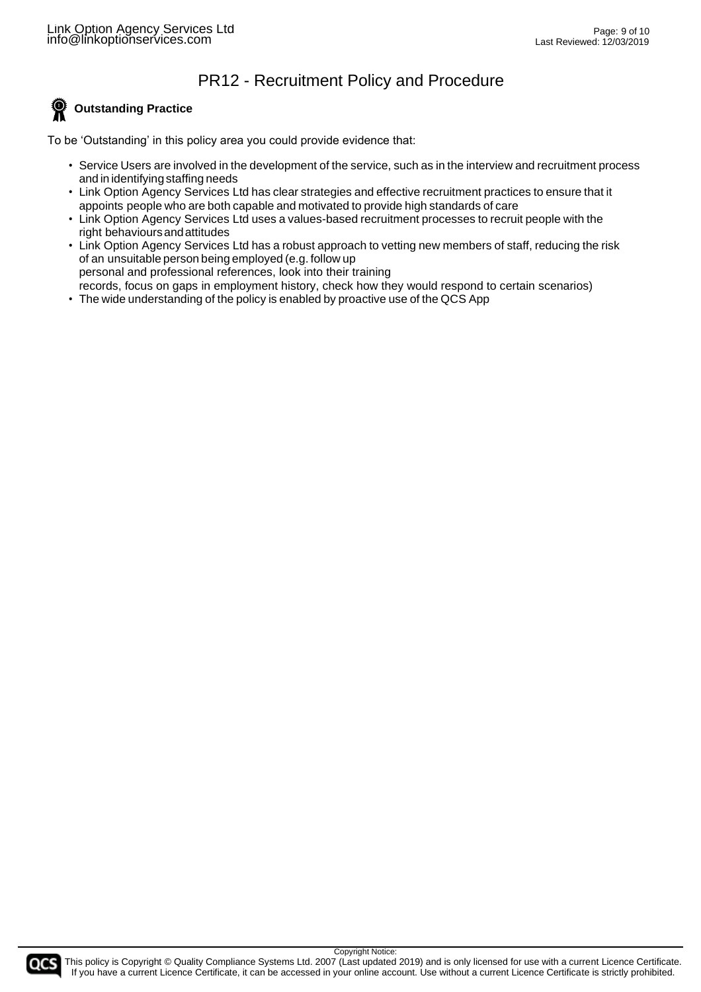#### စ္စ **Outstanding Practice**

To be 'Outstanding' in this policy area you could provide evidence that:

- Service Users are involved in the development of the service, such as in the interview and recruitment process and in identifying staffing needs
- Link Option Agency Services Ltd has clear strategies and effective recruitment practices to ensure that it appoints people who are both capable and motivated to provide high standards of care
- Link Option Agency Services Ltd uses a values-based recruitment processes to recruit people with the right behavioursandattitudes
- Link Option Agency Services Ltd has a robust approach to vetting new members of staff, reducing the risk of an unsuitable person being employed (e.g. follow up personal and professional references, look into their training records, focus on gaps in employment history, check how they would respond to certain scenarios)
- The wide understanding of the policy is enabled by proactive use of the QCS App

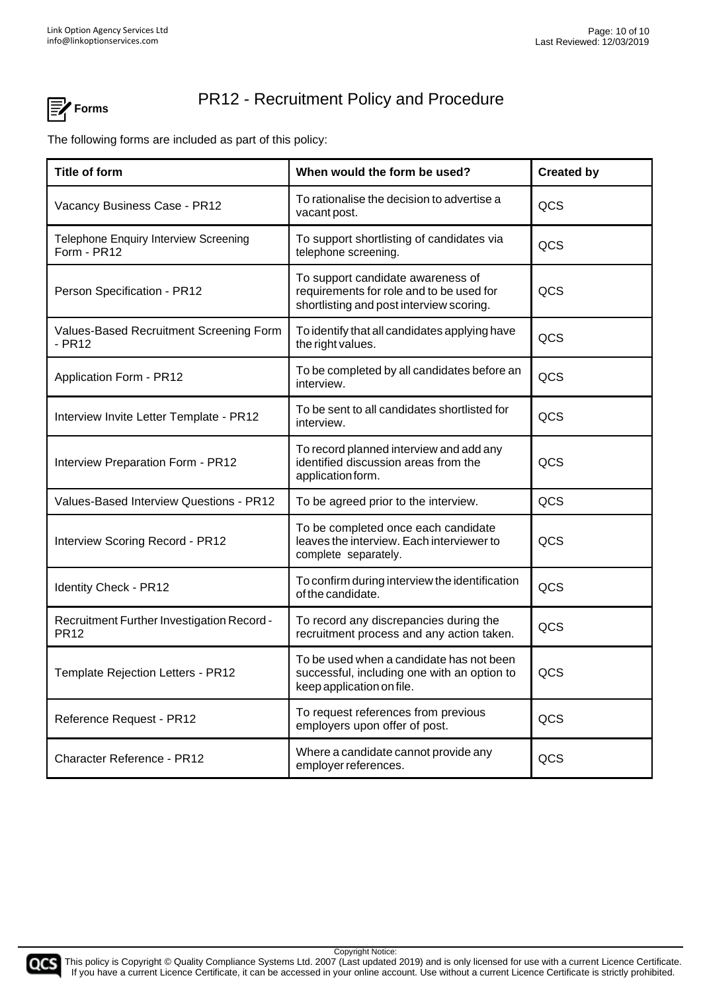

The following forms are included as part of this policy:

| <b>Title of form</b>                                      | When would the form be used?                                                                                              | <b>Created by</b> |
|-----------------------------------------------------------|---------------------------------------------------------------------------------------------------------------------------|-------------------|
| Vacancy Business Case - PR12                              | To rationalise the decision to advertise a<br>vacant post.                                                                | QCS               |
| Telephone Enquiry Interview Screening<br>Form - PR12      | To support shortlisting of candidates via<br>telephone screening.                                                         | QCS               |
| Person Specification - PR12                               | To support candidate awareness of<br>requirements for role and to be used for<br>shortlisting and post interview scoring. | QCS               |
| Values-Based Recruitment Screening Form<br>$-$ PR12       | To identify that all candidates applying have<br>the right values.                                                        | QCS               |
| Application Form - PR12                                   | To be completed by all candidates before an<br>interview.                                                                 | QCS               |
| Interview Invite Letter Template - PR12                   | To be sent to all candidates shortlisted for<br>interview.                                                                | QCS               |
| Interview Preparation Form - PR12                         | To record planned interview and add any<br>identified discussion areas from the<br>application form.                      | QCS               |
| Values-Based Interview Questions - PR12                   | To be agreed prior to the interview.                                                                                      | QCS               |
| Interview Scoring Record - PR12                           | To be completed once each candidate<br>leaves the interview. Each interviewer to<br>complete separately.                  | QCS               |
| <b>Identity Check - PR12</b>                              | To confirm during interview the identification<br>of the candidate.                                                       | QCS               |
| Recruitment Further Investigation Record -<br><b>PR12</b> | To record any discrepancies during the<br>recruitment process and any action taken.                                       | QCS               |
| Template Rejection Letters - PR12                         | To be used when a candidate has not been<br>successful, including one with an option to<br>keep application on file.      | QCS               |
| Reference Request - PR12                                  | To request references from previous<br>employers upon offer of post.                                                      | QCS               |
| Character Reference - PR12                                | Where a candidate cannot provide any<br>employer references.                                                              | QCS               |



This policy is Copyright © Quality Compliance Systems Ltd. 2007 (Last updated 2019) and is only licensed for use with a current Licence Certificate. If you have a current Licence Certificate, it can be accessed in your online account. Use without a current Licence Certificate is strictly prohibited.

Copyright Notice: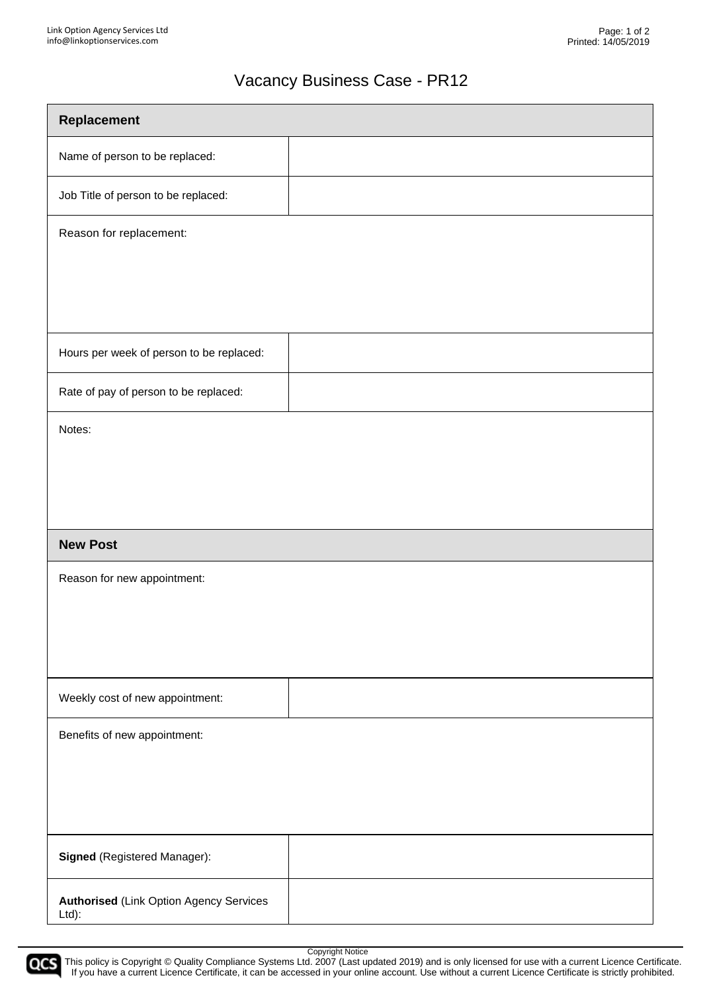# Vacancy Business Case - PR12

| Replacement                                             |  |  |
|---------------------------------------------------------|--|--|
| Name of person to be replaced:                          |  |  |
| Job Title of person to be replaced:                     |  |  |
| Reason for replacement:                                 |  |  |
|                                                         |  |  |
|                                                         |  |  |
| Hours per week of person to be replaced:                |  |  |
| Rate of pay of person to be replaced:                   |  |  |
| Notes:                                                  |  |  |
|                                                         |  |  |
|                                                         |  |  |
| <b>New Post</b>                                         |  |  |
| Reason for new appointment:                             |  |  |
|                                                         |  |  |
|                                                         |  |  |
| Weekly cost of new appointment:                         |  |  |
| Benefits of new appointment:                            |  |  |
|                                                         |  |  |
|                                                         |  |  |
| Signed (Registered Manager):                            |  |  |
| <b>Authorised (Link Option Agency Services</b><br>Ltd): |  |  |



Copyright Notice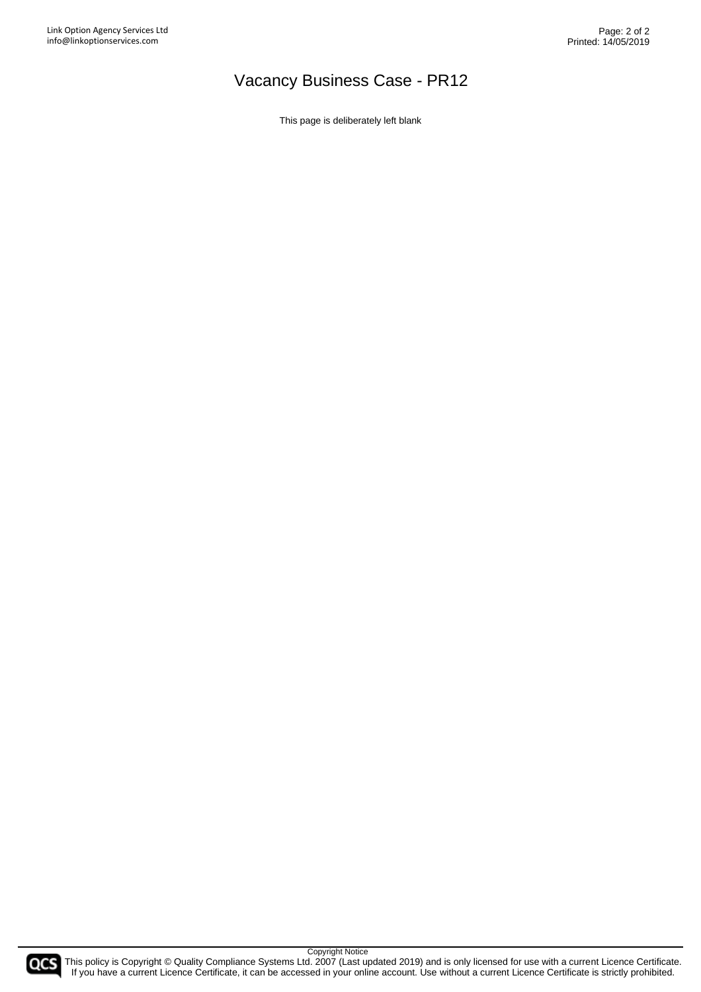# Vacancy Business Case - PR12

This page is deliberately left blank

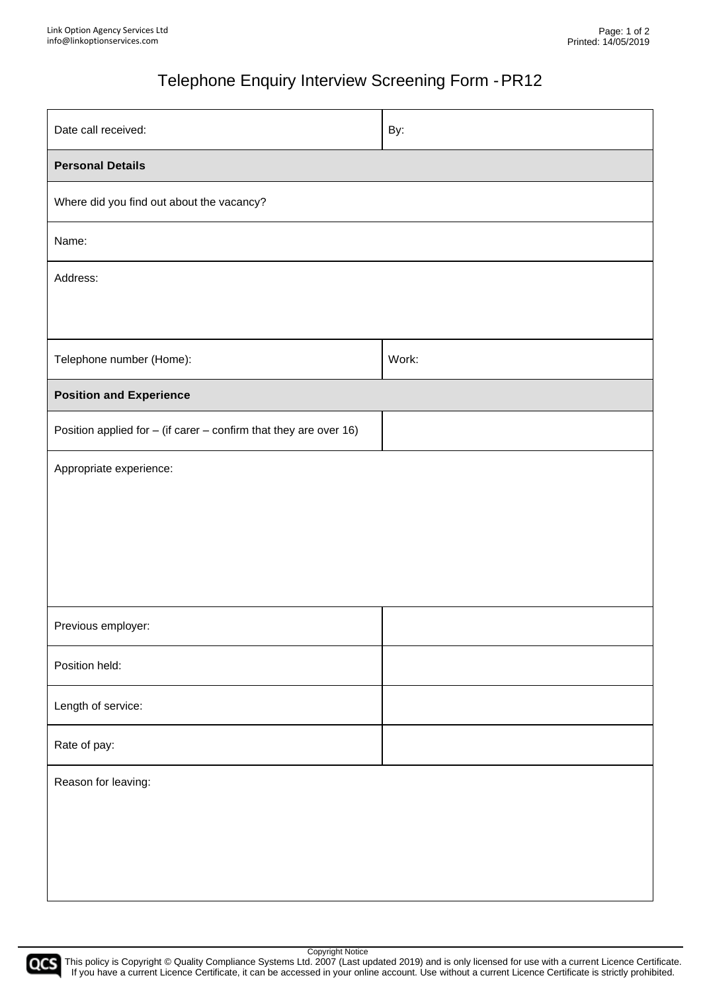# Telephone Enquiry Interview Screening Form -PR12

| Date call received:                                                   | By:   |  |
|-----------------------------------------------------------------------|-------|--|
| <b>Personal Details</b>                                               |       |  |
| Where did you find out about the vacancy?                             |       |  |
| Name:                                                                 |       |  |
| Address:                                                              |       |  |
|                                                                       |       |  |
| Telephone number (Home):                                              | Work: |  |
| <b>Position and Experience</b>                                        |       |  |
| Position applied for $-$ (if carer $-$ confirm that they are over 16) |       |  |
| Appropriate experience:                                               |       |  |
|                                                                       |       |  |
|                                                                       |       |  |
|                                                                       |       |  |
| Previous employer:                                                    |       |  |
| Position held:                                                        |       |  |
| Length of service:                                                    |       |  |
| Rate of pay:                                                          |       |  |
| Reason for leaving:                                                   |       |  |
|                                                                       |       |  |
|                                                                       |       |  |
|                                                                       |       |  |

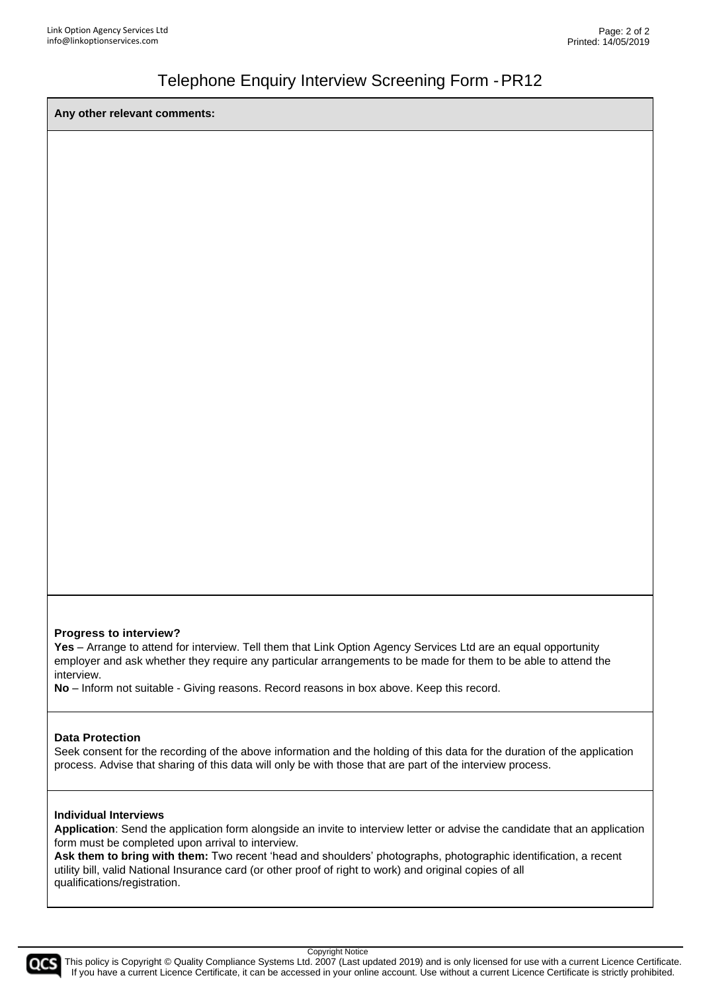### Telephone Enquiry Interview Screening Form -PR12

**Any other relevant comments:**

#### **Progress to interview?**

Yes – Arrange to attend for interview. Tell them that Link Option Agency Services Ltd are an equal opportunity employer and ask whether they require any particular arrangements to be made for them to be able to attend the interview.

**No** – Inform not suitable - Giving reasons. Record reasons in box above. Keep this record.

#### **Data Protection**

Seek consent for the recording of the above information and the holding of this data for the duration of the application process. Advise that sharing of this data will only be with those that are part of the interview process.

#### **Individual Interviews**

**Application**: Send the application form alongside an invite to interview letter or advise the candidate that an application form must be completed upon arrival to interview.

**Ask them to bring with them:** Two recent 'head and shoulders' photographs, photographic identification, a recent utility bill, valid National Insurance card (or other proof of right to work) and original copies of all qualifications/registration.



Copyright Notice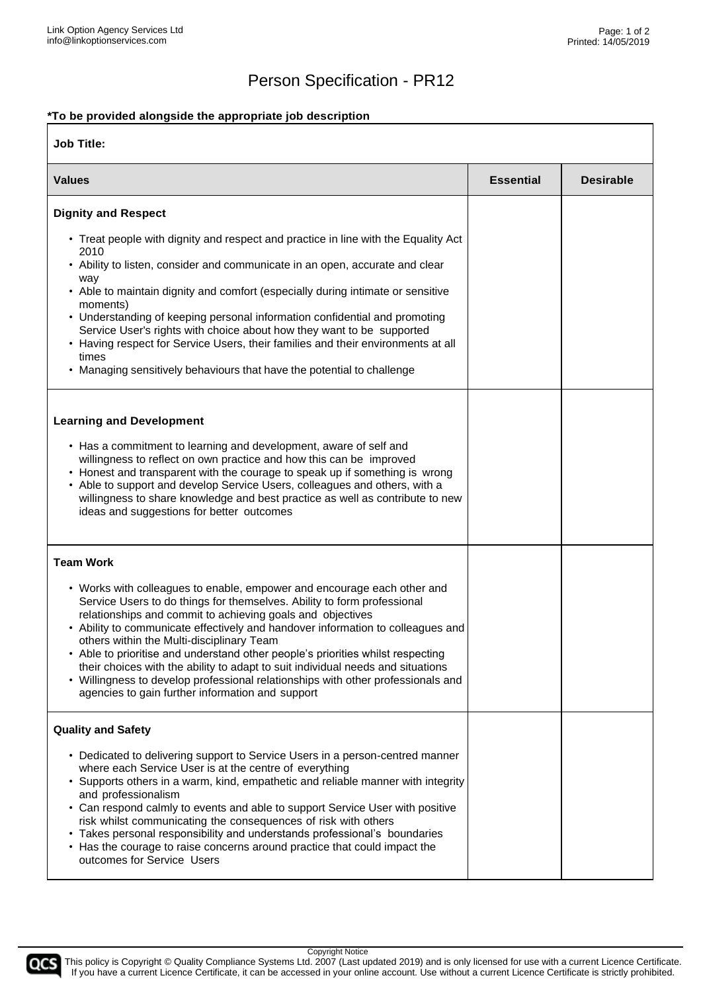# Person Specification - PR12

#### **\*To be provided alongside the appropriate job description**

| <b>Job Title:</b>                                                                                                                                                                                                                                                                                                                                                                                                                                                                                                                                                                                              |                  |                  |
|----------------------------------------------------------------------------------------------------------------------------------------------------------------------------------------------------------------------------------------------------------------------------------------------------------------------------------------------------------------------------------------------------------------------------------------------------------------------------------------------------------------------------------------------------------------------------------------------------------------|------------------|------------------|
| <b>Values</b>                                                                                                                                                                                                                                                                                                                                                                                                                                                                                                                                                                                                  | <b>Essential</b> | <b>Desirable</b> |
| <b>Dignity and Respect</b>                                                                                                                                                                                                                                                                                                                                                                                                                                                                                                                                                                                     |                  |                  |
| • Treat people with dignity and respect and practice in line with the Equality Act<br>2010<br>• Ability to listen, consider and communicate in an open, accurate and clear<br>way<br>• Able to maintain dignity and comfort (especially during intimate or sensitive<br>moments)<br>• Understanding of keeping personal information confidential and promoting<br>Service User's rights with choice about how they want to be supported<br>• Having respect for Service Users, their families and their environments at all<br>times<br>• Managing sensitively behaviours that have the potential to challenge |                  |                  |
| <b>Learning and Development</b><br>• Has a commitment to learning and development, aware of self and<br>willingness to reflect on own practice and how this can be improved<br>• Honest and transparent with the courage to speak up if something is wrong<br>• Able to support and develop Service Users, colleagues and others, with a<br>willingness to share knowledge and best practice as well as contribute to new<br>ideas and suggestions for better outcomes                                                                                                                                         |                  |                  |
| <b>Team Work</b><br>• Works with colleagues to enable, empower and encourage each other and<br>Service Users to do things for themselves. Ability to form professional                                                                                                                                                                                                                                                                                                                                                                                                                                         |                  |                  |
| relationships and commit to achieving goals and objectives<br>• Ability to communicate effectively and handover information to colleagues and<br>others within the Multi-disciplinary Team<br>• Able to prioritise and understand other people's priorities whilst respecting<br>their choices with the ability to adapt to suit individual needs and situations<br>• Willingness to develop professional relationships with other professionals and<br>agencies to gain further information and support                                                                                                       |                  |                  |
| <b>Quality and Safety</b>                                                                                                                                                                                                                                                                                                                                                                                                                                                                                                                                                                                      |                  |                  |
| • Dedicated to delivering support to Service Users in a person-centred manner<br>where each Service User is at the centre of everything<br>• Supports others in a warm, kind, empathetic and reliable manner with integrity<br>and professionalism<br>• Can respond calmly to events and able to support Service User with positive<br>risk whilst communicating the consequences of risk with others<br>• Takes personal responsibility and understands professional's boundaries<br>• Has the courage to raise concerns around practice that could impact the<br>outcomes for Service Users                  |                  |                  |

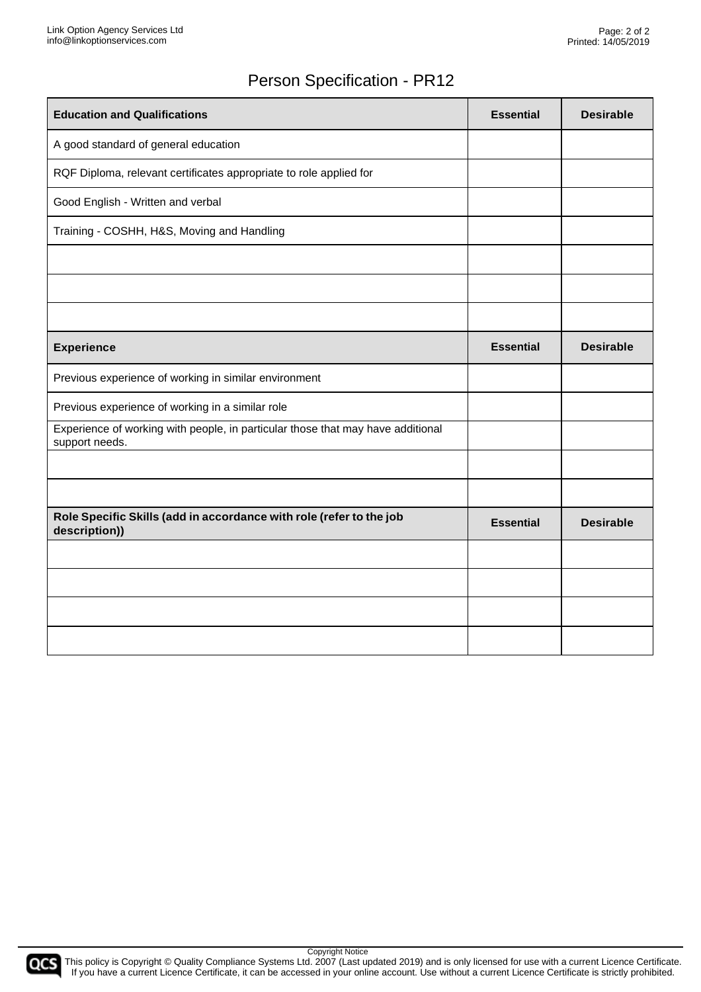# Person Specification - PR12

| <b>Education and Qualifications</b>                                                               | <b>Essential</b> | <b>Desirable</b> |
|---------------------------------------------------------------------------------------------------|------------------|------------------|
| A good standard of general education                                                              |                  |                  |
| RQF Diploma, relevant certificates appropriate to role applied for                                |                  |                  |
| Good English - Written and verbal                                                                 |                  |                  |
| Training - COSHH, H&S, Moving and Handling                                                        |                  |                  |
|                                                                                                   |                  |                  |
|                                                                                                   |                  |                  |
|                                                                                                   |                  |                  |
| <b>Experience</b>                                                                                 | <b>Essential</b> | <b>Desirable</b> |
| Previous experience of working in similar environment                                             |                  |                  |
| Previous experience of working in a similar role                                                  |                  |                  |
| Experience of working with people, in particular those that may have additional<br>support needs. |                  |                  |
|                                                                                                   |                  |                  |
|                                                                                                   |                  |                  |
| Role Specific Skills (add in accordance with role (refer to the job<br>description))              | <b>Essential</b> | <b>Desirable</b> |
|                                                                                                   |                  |                  |
|                                                                                                   |                  |                  |
|                                                                                                   |                  |                  |
|                                                                                                   |                  |                  |

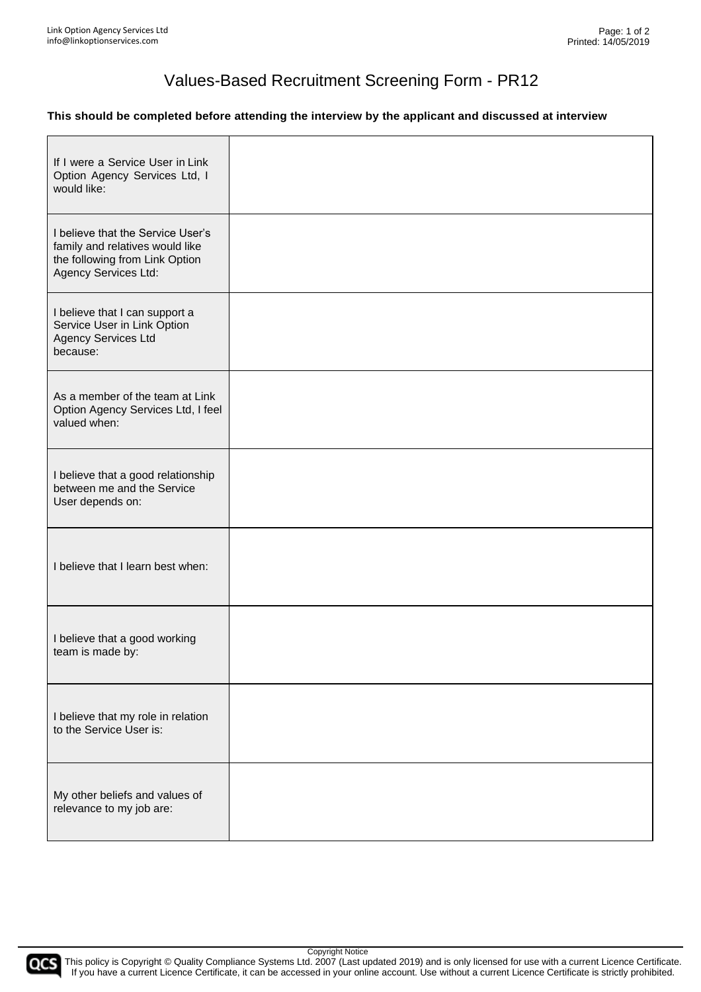### Values-Based Recruitment Screening Form - PR12

#### **This should be completed before attending the interview by the applicant and discussed at interview**

| If I were a Service User in Link<br>Option Agency Services Ltd, I<br>would like:                                               |  |
|--------------------------------------------------------------------------------------------------------------------------------|--|
| I believe that the Service User's<br>family and relatives would like<br>the following from Link Option<br>Agency Services Ltd: |  |
| I believe that I can support a<br>Service User in Link Option<br><b>Agency Services Ltd</b><br>because:                        |  |
| As a member of the team at Link<br>Option Agency Services Ltd, I feel<br>valued when:                                          |  |
| I believe that a good relationship<br>between me and the Service<br>User depends on:                                           |  |
| I believe that I learn best when:                                                                                              |  |
| I believe that a good working<br>team is made by:                                                                              |  |
| I believe that my role in relation<br>to the Service User is:                                                                  |  |
| My other beliefs and values of<br>relevance to my job are:                                                                     |  |

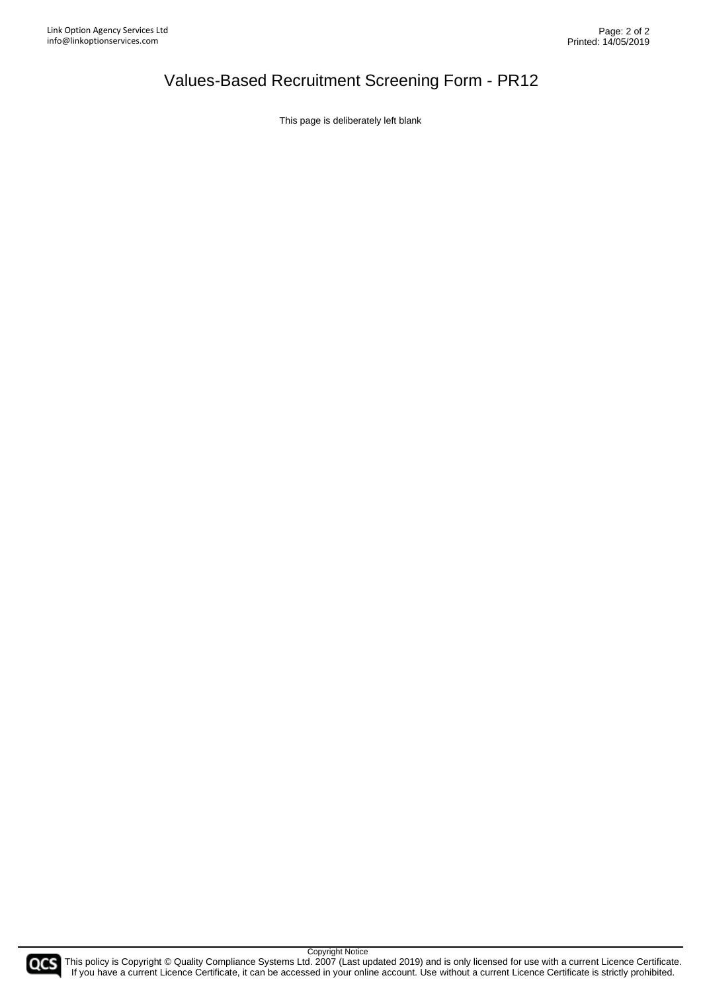# Values-Based Recruitment Screening Form - PR12

This page is deliberately left blank

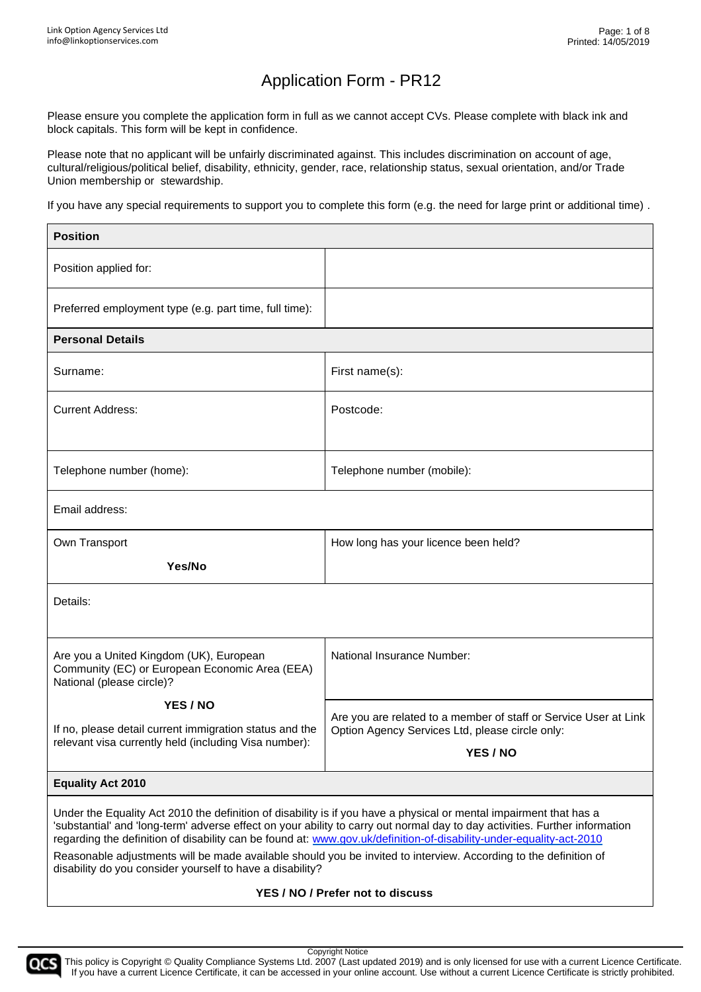Please ensure you complete the application form in full as we cannot accept CVs. Please complete with black ink and block capitals. This form will be kept in confidence.

Please note that no applicant will be unfairly discriminated against. This includes discrimination on account of age, cultural/religious/political belief, disability, ethnicity, gender, race, relationship status, sexual orientation, and/or Trade Union membership or stewardship.

If you have any special requirements to support you to complete this form (e.g. the need for large print or additional time) .

| <b>Position</b>                                                                                                                                                                                                                                                                                                                                                                                                                                                                              |                                                                    |  |
|----------------------------------------------------------------------------------------------------------------------------------------------------------------------------------------------------------------------------------------------------------------------------------------------------------------------------------------------------------------------------------------------------------------------------------------------------------------------------------------------|--------------------------------------------------------------------|--|
| Position applied for:                                                                                                                                                                                                                                                                                                                                                                                                                                                                        |                                                                    |  |
| Preferred employment type (e.g. part time, full time):                                                                                                                                                                                                                                                                                                                                                                                                                                       |                                                                    |  |
| <b>Personal Details</b>                                                                                                                                                                                                                                                                                                                                                                                                                                                                      |                                                                    |  |
| Surname:                                                                                                                                                                                                                                                                                                                                                                                                                                                                                     | First name(s):                                                     |  |
| <b>Current Address:</b>                                                                                                                                                                                                                                                                                                                                                                                                                                                                      | Postcode:                                                          |  |
|                                                                                                                                                                                                                                                                                                                                                                                                                                                                                              |                                                                    |  |
| Telephone number (home):                                                                                                                                                                                                                                                                                                                                                                                                                                                                     | Telephone number (mobile):                                         |  |
| Email address:                                                                                                                                                                                                                                                                                                                                                                                                                                                                               |                                                                    |  |
| Own Transport                                                                                                                                                                                                                                                                                                                                                                                                                                                                                | How long has your licence been held?                               |  |
| Yes/No                                                                                                                                                                                                                                                                                                                                                                                                                                                                                       |                                                                    |  |
| Details:                                                                                                                                                                                                                                                                                                                                                                                                                                                                                     |                                                                    |  |
|                                                                                                                                                                                                                                                                                                                                                                                                                                                                                              |                                                                    |  |
| Are you a United Kingdom (UK), European<br>Community (EC) or European Economic Area (EEA)<br>National (please circle)?                                                                                                                                                                                                                                                                                                                                                                       | National Insurance Number:                                         |  |
| YES / NO                                                                                                                                                                                                                                                                                                                                                                                                                                                                                     | Are you are related to a member of staff or Service User at Link   |  |
| If no, please detail current immigration status and the<br>relevant visa currently held (including Visa number):                                                                                                                                                                                                                                                                                                                                                                             | Option Agency Services Ltd, please circle only:<br><b>YES / NO</b> |  |
|                                                                                                                                                                                                                                                                                                                                                                                                                                                                                              |                                                                    |  |
| <b>Equality Act 2010</b>                                                                                                                                                                                                                                                                                                                                                                                                                                                                     |                                                                    |  |
| Under the Equality Act 2010 the definition of disability is if you have a physical or mental impairment that has a<br>'substantial' and 'long-term' adverse effect on your ability to carry out normal day to day activities. Further information<br>regarding the definition of disability can be found at: www.gov.uk/definition-of-disability-under-equality-act-2010<br>Reasonable adjustments will be made available should you be invited to interview. According to the definition of |                                                                    |  |
| disability do you consider yourself to have a disability?                                                                                                                                                                                                                                                                                                                                                                                                                                    |                                                                    |  |

#### **YES / NO / Prefer not to discuss**



This policy is Copyright © Quality Compliance Systems Ltd. 2007 (Last updated 2019) and is only licensed for use with a current Licence Certificate. If you have a current Licence Certificate, it can be accessed in your online account. Use without a current Licence Certificate is strictly prohibited.

Copyright Notice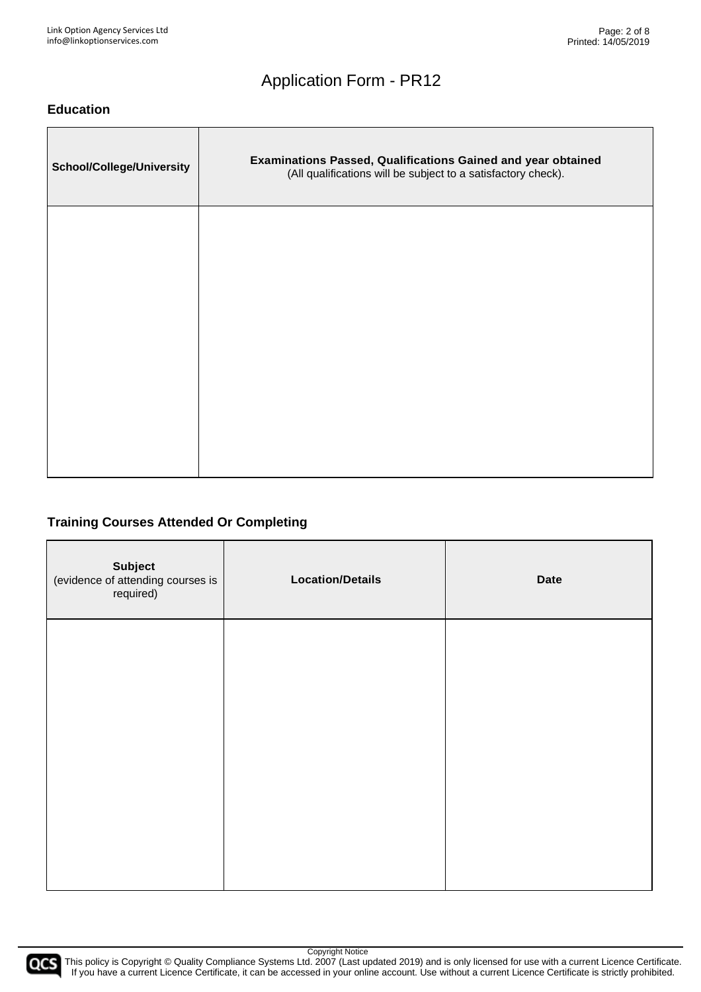#### **Education**

| <b>School/College/University</b> | Examinations Passed, Qualifications Gained and year obtained<br>(All qualifications will be subject to a satisfactory check). |
|----------------------------------|-------------------------------------------------------------------------------------------------------------------------------|
|                                  |                                                                                                                               |
|                                  |                                                                                                                               |
|                                  |                                                                                                                               |
|                                  |                                                                                                                               |

### **Training Courses Attended Or Completing**

| <b>Subject</b><br>(evidence of attending courses is<br>required) | <b>Location/Details</b> | <b>Date</b> |
|------------------------------------------------------------------|-------------------------|-------------|
|                                                                  |                         |             |
|                                                                  |                         |             |
|                                                                  |                         |             |
|                                                                  |                         |             |

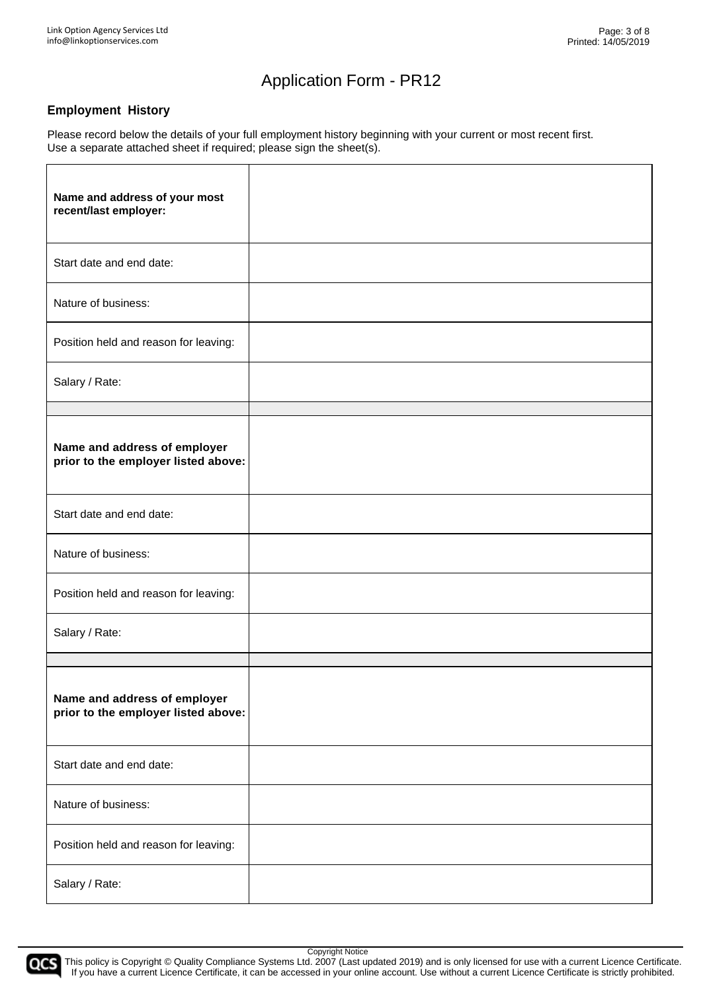#### **Employment History**

Please record below the details of your full employment history beginning with your current or most recent first. Use a separate attached sheet if required; please sign the sheet(s).

| Name and address of your most<br>recent/last employer:              |  |
|---------------------------------------------------------------------|--|
| Start date and end date:                                            |  |
| Nature of business:                                                 |  |
| Position held and reason for leaving:                               |  |
| Salary / Rate:                                                      |  |
|                                                                     |  |
| Name and address of employer<br>prior to the employer listed above: |  |
| Start date and end date:                                            |  |
| Nature of business:                                                 |  |
| Position held and reason for leaving:                               |  |
| Salary / Rate:                                                      |  |
|                                                                     |  |
| Name and address of employer<br>prior to the employer listed above: |  |
| Start date and end date:                                            |  |
| Nature of business:                                                 |  |
| Position held and reason for leaving:                               |  |
| Salary / Rate:                                                      |  |

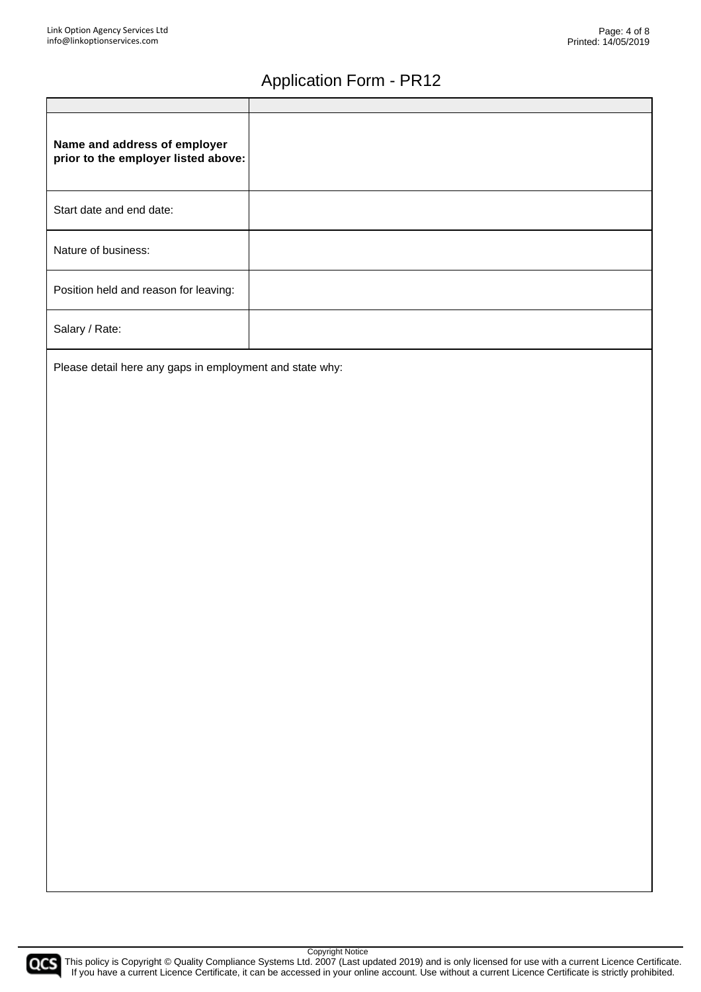| Name and address of employer<br>prior to the employer listed above: |  |
|---------------------------------------------------------------------|--|
| Start date and end date:                                            |  |
| Nature of business:                                                 |  |
| Position held and reason for leaving:                               |  |
| Salary / Rate:                                                      |  |

Please detail here any gaps in employment and state why:

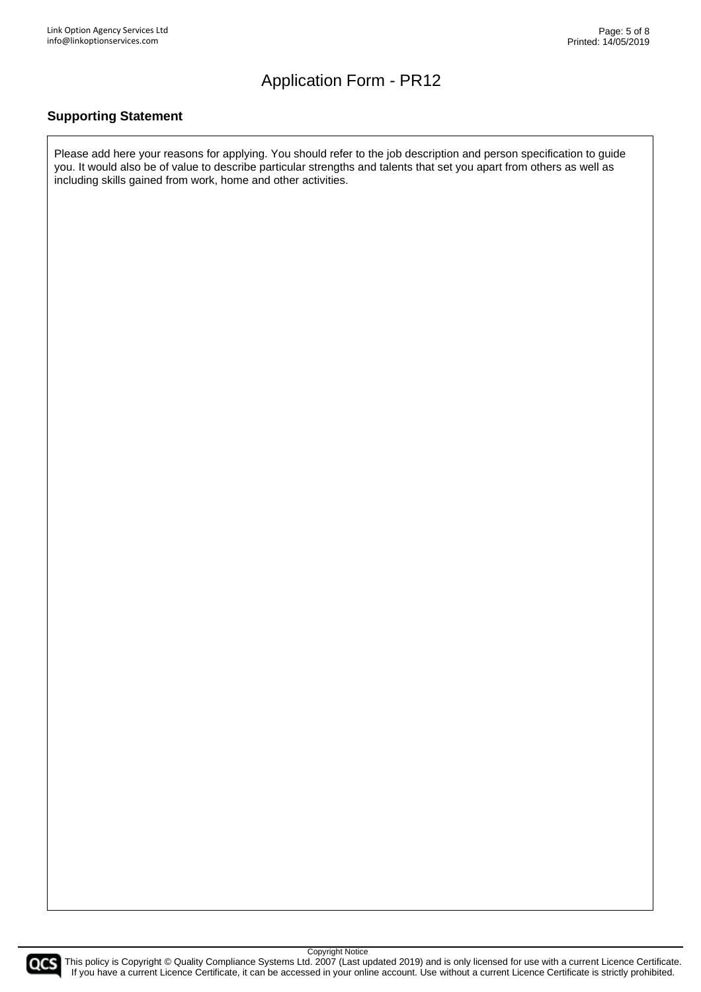#### **Supporting Statement**

Please add here your reasons for applying. You should refer to the job description and person specification to guide you. It would also be of value to describe particular strengths and talents that set you apart from others as well as including skills gained from work, home and other activities.



COCS This policy is Copyright © Quality Compliance Systems Ltd. 2007 (Last updated 2019) and is only licensed for use with a current Licence Certificate. If you have a current Licence Certificate, it can be accessed in your online account. Use without a current Licence Certificate is strictly prohibited.

Copyright Notice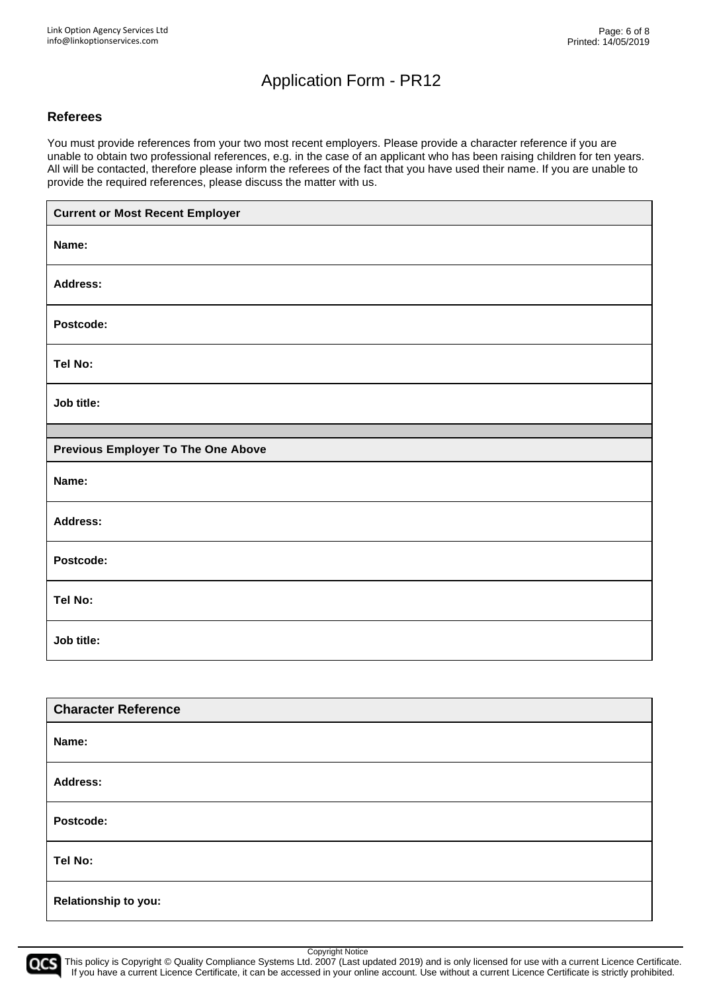#### **Referees**

You must provide references from your two most recent employers. Please provide a character reference if you are unable to obtain two professional references, e.g. in the case of an applicant who has been raising children for ten years. All will be contacted, therefore please inform the referees of the fact that you have used their name. If you are unable to provide the required references, please discuss the matter with us.

| <b>Current or Most Recent Employer</b>    |
|-------------------------------------------|
| Name:                                     |
| <b>Address:</b>                           |
| Postcode:                                 |
| Tel No:                                   |
| Job title:                                |
|                                           |
| <b>Previous Employer To The One Above</b> |
| Name:                                     |
| <b>Address:</b>                           |
| Postcode:                                 |
| Tel No:                                   |
| Job title:                                |

| <b>Character Reference</b> |
|----------------------------|
| Name:                      |
| Address:                   |
| Postcode:                  |
| Tel No:                    |
| Relationship to you:       |

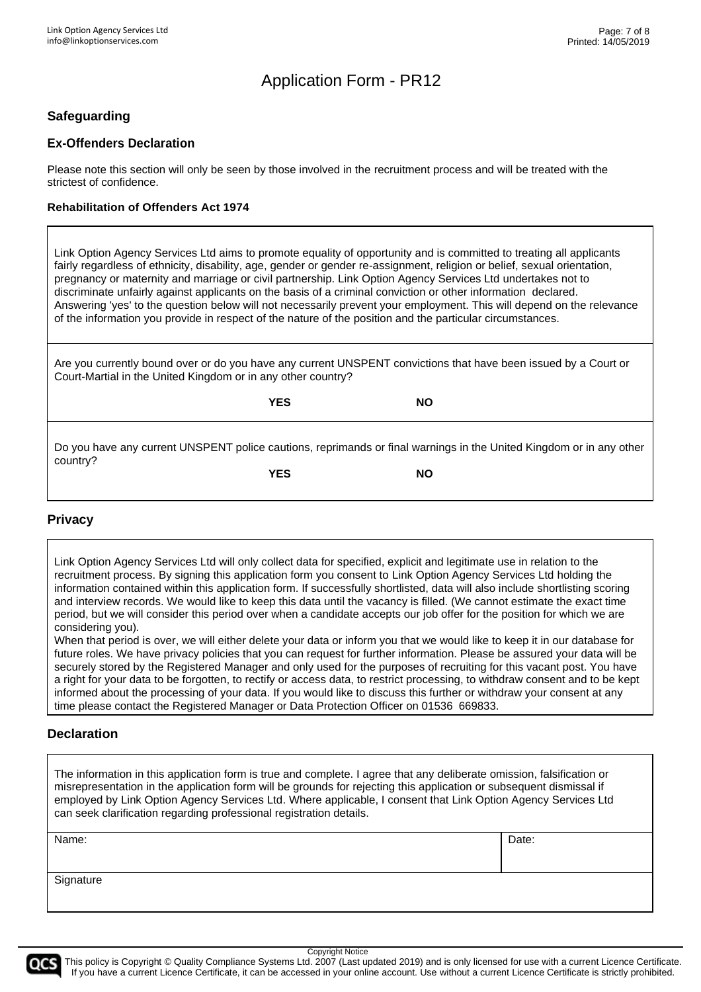### **Safeguarding**

#### **Ex-Offenders Declaration**

Please note this section will only be seen by those involved in the recruitment process and will be treated with the strictest of confidence.

#### **Rehabilitation of Offenders Act 1974**

Link Option Agency Services Ltd aims to promote equality of opportunity and is committed to treating all applicants fairly regardless of ethnicity, disability, age, gender or gender re-assignment, religion or belief, sexual orientation, pregnancy or maternity and marriage or civil partnership. Link Option Agency Services Ltd undertakes not to discriminate unfairly against applicants on the basis of a criminal conviction or other information declared. Answering 'yes' to the question below will not necessarily prevent your employment. This will depend on the relevance of the information you provide in respect of the nature of the position and the particular circumstances.

Are you currently bound over or do you have any current UNSPENT convictions that have been issued by a Court or Court-Martial in the United Kingdom or in any other country?

|          | <b>YES</b> | <b>NO</b>                                                                                                           |
|----------|------------|---------------------------------------------------------------------------------------------------------------------|
| country? |            | Do you have any current UNSPENT police cautions, reprimands or final warnings in the United Kingdom or in any other |
|          | <b>YES</b> | <b>NO</b>                                                                                                           |

#### **Privacy**

Link Option Agency Services Ltd will only collect data for specified, explicit and legitimate use in relation to the recruitment process. By signing this application form you consent to Link Option Agency Services Ltd holding the information contained within this application form. If successfully shortlisted, data will also include shortlisting scoring and interview records. We would like to keep this data until the vacancy is filled. (We cannot estimate the exact time period, but we will consider this period over when a candidate accepts our job offer for the position for which we are considering you)*.*

When that period is over, we will either delete your data or inform you that we would like to keep it in our database for future roles. We have privacy policies that you can request for further information. Please be assured your data will be securely stored by the Registered Manager and only used for the purposes of recruiting for this vacant post. You have a right for your data to be forgotten, to rectify or access data, to restrict processing, to withdraw consent and to be kept informed about the processing of your data. If you would like to discuss this further or withdraw your consent at any time please contact the Registered Manager or Data Protection Officer on 01536 669833.

#### **Declaration**

The information in this application form is true and complete. I agree that any deliberate omission, falsification or misrepresentation in the application form will be grounds for rejecting this application or subsequent dismissal if employed by Link Option Agency Services Ltd. Where applicable, I consent that Link Option Agency Services Ltd can seek clarification regarding professional registration details.

| Name:     | Date: |
|-----------|-------|
| Signature |       |



Copyright Notice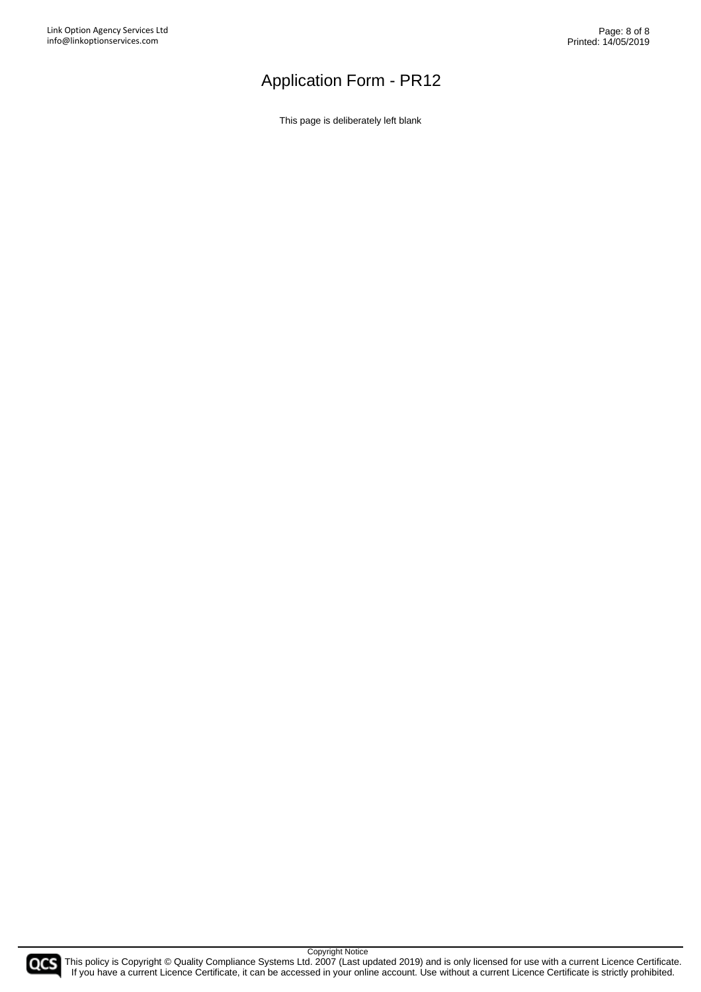This page is deliberately left blank

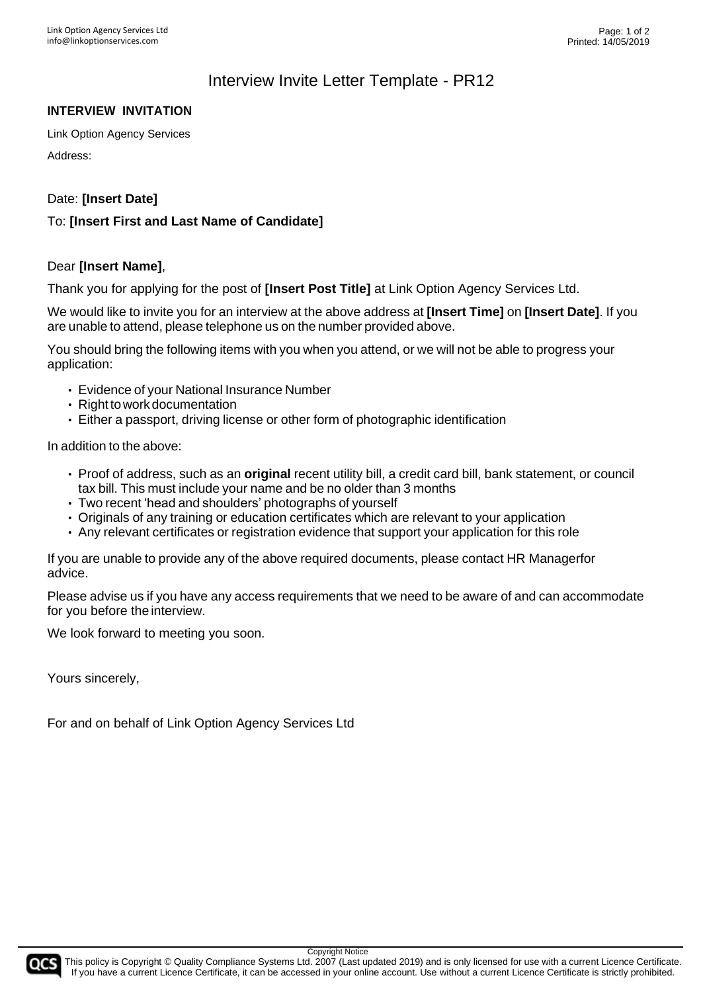### Interview Invite Letter Template - PR12

#### **INTERVIEW INVITATION**

Link Option Agency Services

Address:

Date: **[Insert Date]**

#### To: **[Insert First and Last Name of Candidate]**

#### Dear **[Insert Name]**,

Thank you for applying for the post of **[Insert Post Title]** at Link Option Agency Services Ltd.

We would like to invite you for an interview at the above address at **[Insert Time]** on **[Insert Date]**. If you are unable to attend, please telephone us on the number provided above.

You should bring the following items with you when you attend, or we will not be able to progress your application:

- Evidence of your National Insurance Number
- Right to work documentation
- Either a passport, driving license or other form of photographic identification

In addition to the above:

- Proof of address, such as an **original** recent utility bill, a credit card bill, bank statement, or council tax bill. This must include your name and be no older than 3 months
- Two recent 'head and shoulders' photographs of yourself
- Originals of any training or education certificates which are relevant to your application
- Any relevant certificates or registration evidence that support your application for this role

If you are unable to provide any of the above required documents, please contact HR Managerfor advice.

Please advise us if you have any access requirements that we need to be aware of and can accommodate for you before the interview.

We look forward to meeting you soon.

Yours sincerely,

For and on behalf of Link Option Agency Services Ltd

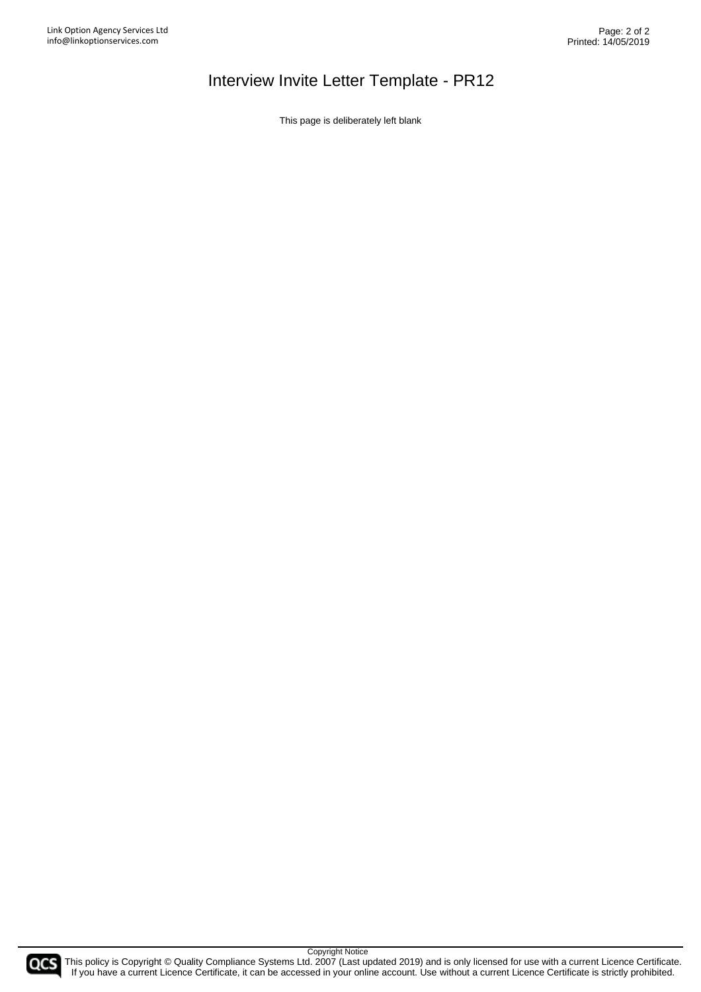# Interview Invite Letter Template - PR12

This page is deliberately left blank

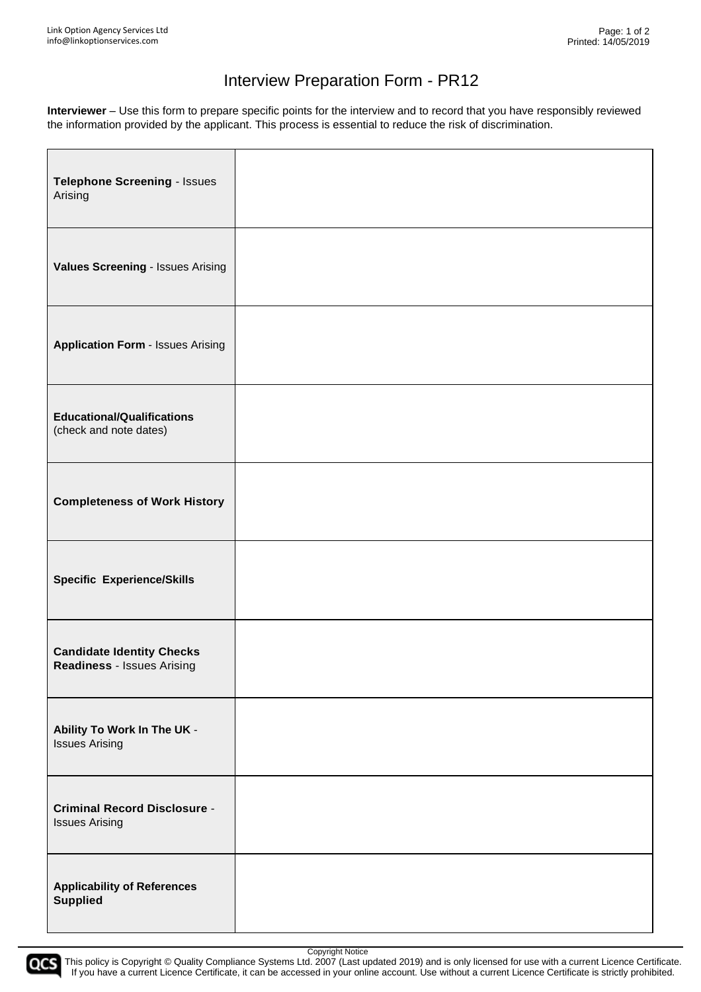# Interview Preparation Form - PR12

**Interviewer** – Use this form to prepare specific points for the interview and to record that you have responsibly reviewed the information provided by the applicant. This process is essential to reduce the risk of discrimination.

| Telephone Screening - Issues<br>Arising                        |  |
|----------------------------------------------------------------|--|
| Values Screening - Issues Arising                              |  |
| <b>Application Form - Issues Arising</b>                       |  |
| <b>Educational/Qualifications</b><br>(check and note dates)    |  |
| <b>Completeness of Work History</b>                            |  |
| <b>Specific Experience/Skills</b>                              |  |
| <b>Candidate Identity Checks</b><br>Readiness - Issues Arising |  |
| Ability To Work In The UK -<br><b>Issues Arising</b>           |  |
| <b>Criminal Record Disclosure -</b><br><b>Issues Arising</b>   |  |
| <b>Applicability of References</b><br><b>Supplied</b>          |  |

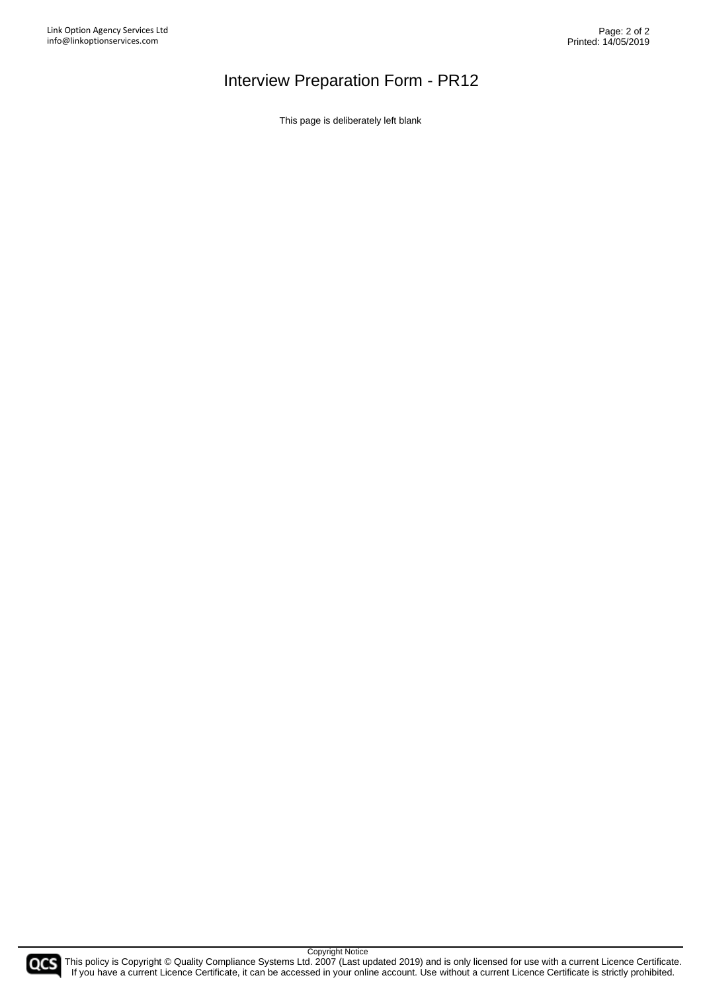# Interview Preparation Form - PR12

This page is deliberately left blank

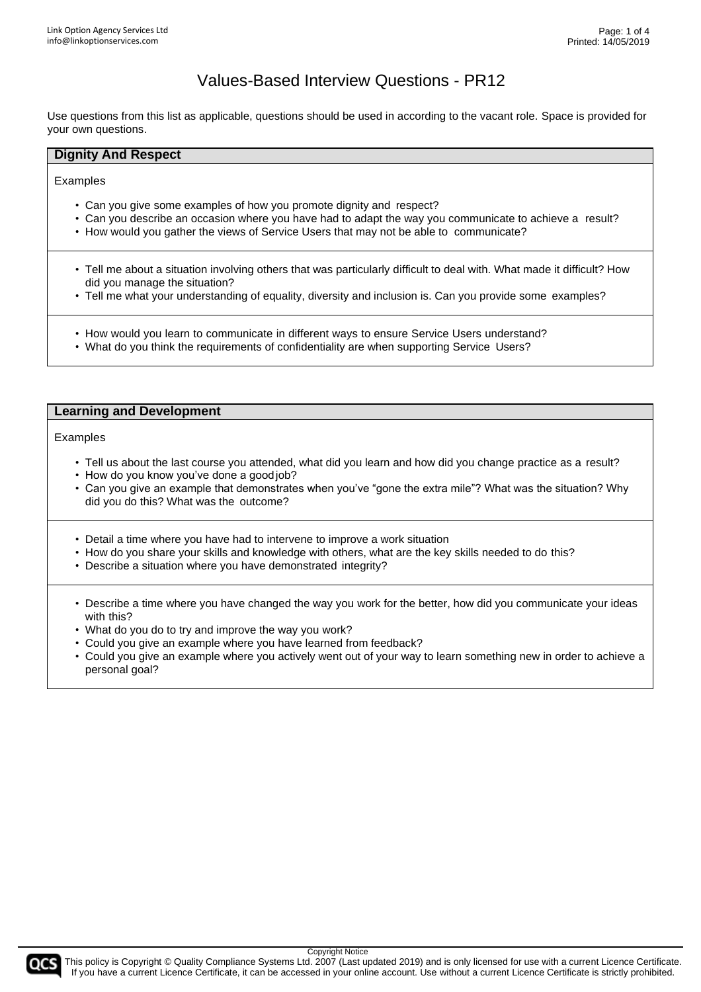Use questions from this list as applicable, questions should be used in according to the vacant role. Space is provided for your own questions.

#### **Dignity And Respect**

Examples

- Can you give some examples of how you promote dignity and respect?
- Can you describe an occasion where you have had to adapt the way you communicate to achieve a result?
- How would you gather the views of Service Users that may not be able to communicate?
- Tell me about a situation involving others that was particularly difficult to deal with. What made it difficult? How did you manage the situation?
- Tell me what your understanding of equality, diversity and inclusion is. Can you provide some examples?
- How would you learn to communicate in different ways to ensure Service Users understand?
- What do you think the requirements of confidentiality are when supporting Service Users?

#### **Learning and Development**

Examples

- Tell us about the last course you attended, what did you learn and how did you change practice as a result?
- How do you know you've done a goodjob?
- Can you give an example that demonstrates when you've "gone the extra mile"? What was the situation? Why did you do this? What was the outcome?
- Detail a time where you have had to intervene to improve a work situation
- How do you share your skills and knowledge with others, what are the key skills needed to do this?
- Describe a situation where you have demonstrated integrity?
- Describe a time where you have changed the way you work for the better, how did you communicate your ideas with this?
- What do you do to try and improve the way you work?
- Could you give an example where you have learned from feedback?
- Could you give an example where you actively went out of your way to learn something new in order to achieve a personal goal?

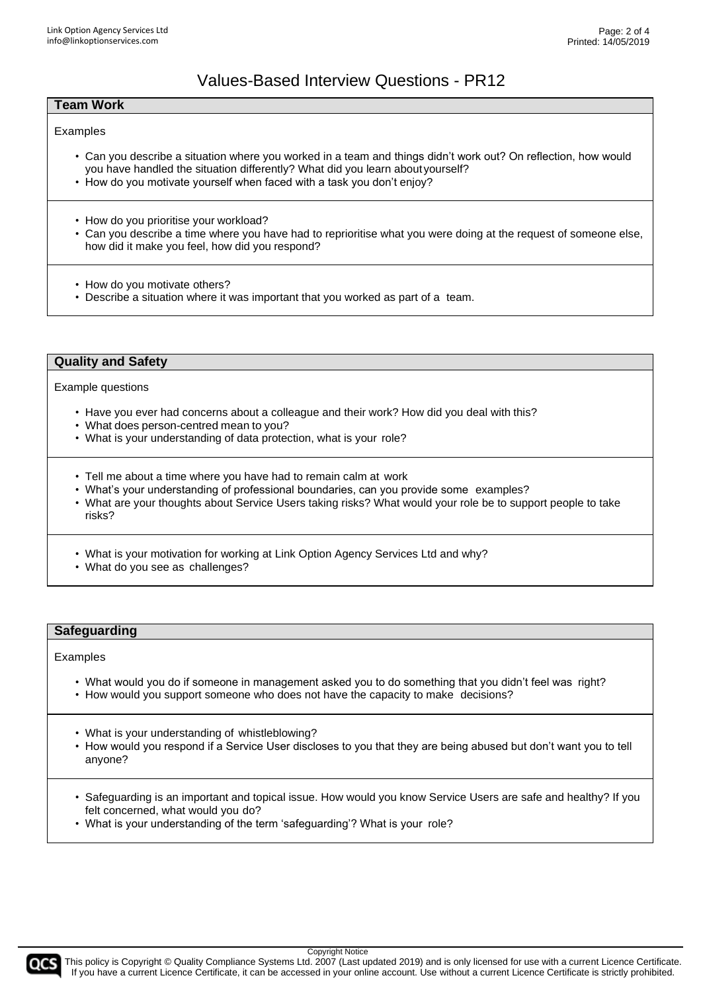#### **Team Work**

#### Examples

- Can you describe a situation where you worked in a team and things didn't work out? On reflection, how would you have handled the situation differently? What did you learn aboutyourself?
- How do you motivate yourself when faced with a task you don't enjoy?
- How do you prioritise your workload?
- Can you describe a time where you have had to reprioritise what you were doing at the request of someone else, how did it make you feel, how did you respond?
- How do you motivate others?
- Describe a situation where it was important that you worked as part of a team.

#### **Quality and Safety**

Example questions

- Have you ever had concerns about a colleague and their work? How did you deal with this?
- What does person-centred mean to you?
- What is your understanding of data protection, what is your role?
- Tell me about a time where you have had to remain calm at work
- What's your understanding of professional boundaries, can you provide some examples?
- What are your thoughts about Service Users taking risks? What would your role be to support people to take risks?
- What is your motivation for working at Link Option Agency Services Ltd and why?
- What do you see as challenges?

#### **Safeguarding**

Examples

- What would you do if someone in management asked you to do something that you didn't feel was right?
- How would you support someone who does not have the capacity to make decisions?
- What is your understanding of whistleblowing?
- How would you respond if a Service User discloses to you that they are being abused but don't want you to tell anyone?
- Safeguarding is an important and topical issue. How would you know Service Users are safe and healthy? If you felt concerned, what would you do?
- What is your understanding of the term 'safeguarding'? What is your role?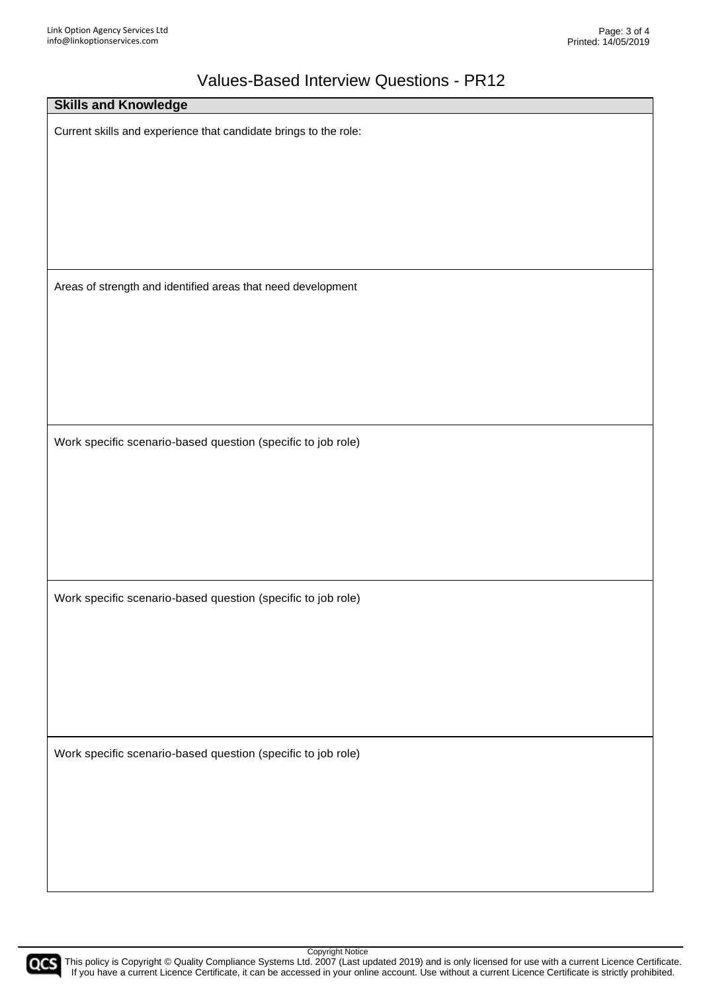| <b>Skills and Knowledge</b>                                      |
|------------------------------------------------------------------|
| Current skills and experience that candidate brings to the role: |
|                                                                  |
|                                                                  |
|                                                                  |
| Areas of strength and identified areas that need development     |
|                                                                  |
|                                                                  |
|                                                                  |
| Work specific scenario-based question (specific to job role)     |
|                                                                  |
|                                                                  |
|                                                                  |
| Work specific scenario-based question (specific to job role)     |
|                                                                  |
|                                                                  |
|                                                                  |
| Work specific scenario-based question (specific to job role)     |
|                                                                  |
|                                                                  |
|                                                                  |

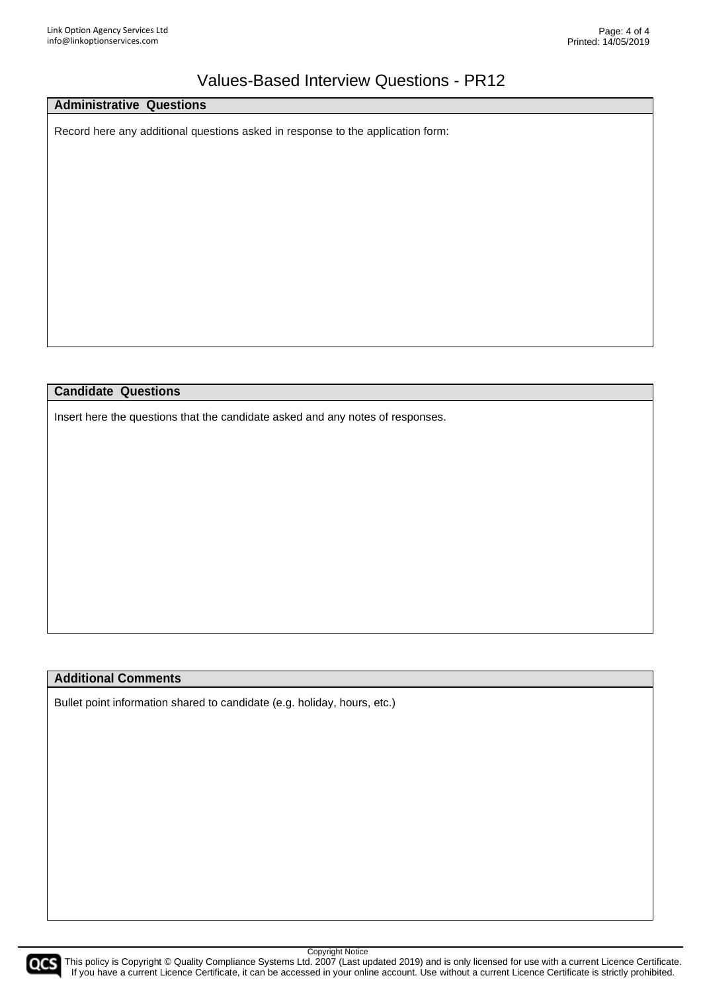#### **Administrative Questions**

Record here any additional questions asked in response to the application form:

#### **Candidate Questions**

Insert here the questions that the candidate asked and any notes of responses.

#### **Additional Comments**

Bullet point information shared to candidate (e.g. holiday, hours, etc.)

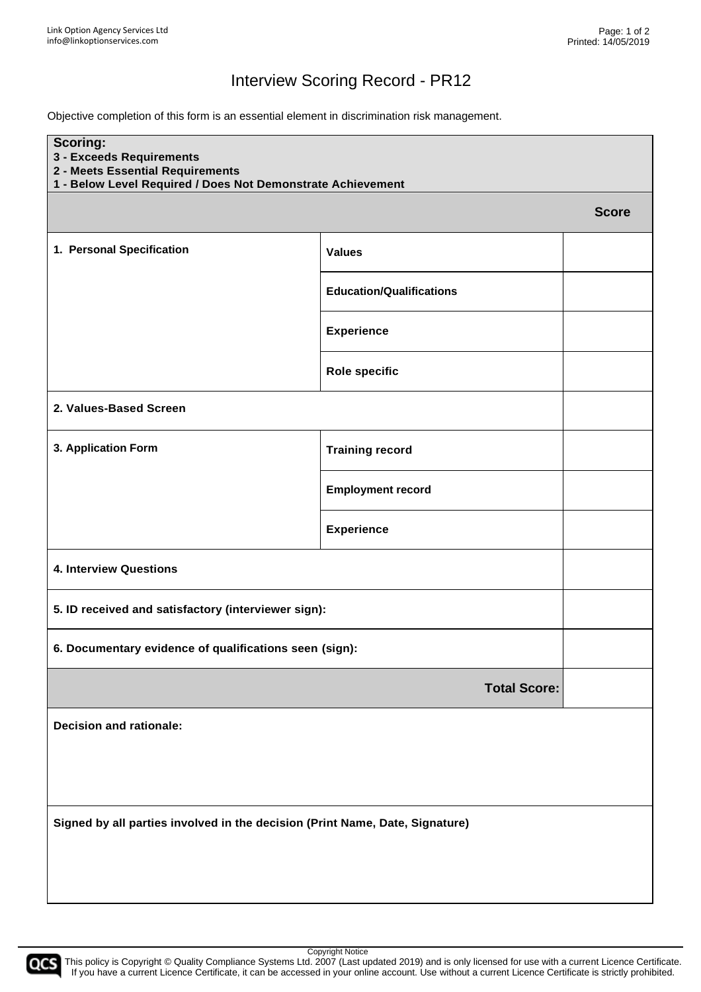### Interview Scoring Record - PR12

Objective completion of this form is an essential element in discrimination risk management.

| <b>Scoring:</b><br>3 - Exceeds Requirements<br>2 - Meets Essential Requirements<br>1 - Below Level Required / Does Not Demonstrate Achievement |                                                        |              |  |
|------------------------------------------------------------------------------------------------------------------------------------------------|--------------------------------------------------------|--------------|--|
|                                                                                                                                                |                                                        | <b>Score</b> |  |
| 1. Personal Specification                                                                                                                      | <b>Values</b>                                          |              |  |
|                                                                                                                                                | <b>Education/Qualifications</b>                        |              |  |
|                                                                                                                                                | <b>Experience</b>                                      |              |  |
|                                                                                                                                                | <b>Role specific</b>                                   |              |  |
| 2. Values-Based Screen                                                                                                                         |                                                        |              |  |
| 3. Application Form                                                                                                                            | <b>Training record</b>                                 |              |  |
|                                                                                                                                                | <b>Employment record</b>                               |              |  |
|                                                                                                                                                | <b>Experience</b>                                      |              |  |
| <b>4. Interview Questions</b>                                                                                                                  |                                                        |              |  |
| 5. ID received and satisfactory (interviewer sign):                                                                                            |                                                        |              |  |
|                                                                                                                                                | 6. Documentary evidence of qualifications seen (sign): |              |  |
|                                                                                                                                                | <b>Total Score:</b>                                    |              |  |
| <b>Decision and rationale:</b>                                                                                                                 |                                                        |              |  |
|                                                                                                                                                |                                                        |              |  |
| Signed by all parties involved in the decision (Print Name, Date, Signature)                                                                   |                                                        |              |  |

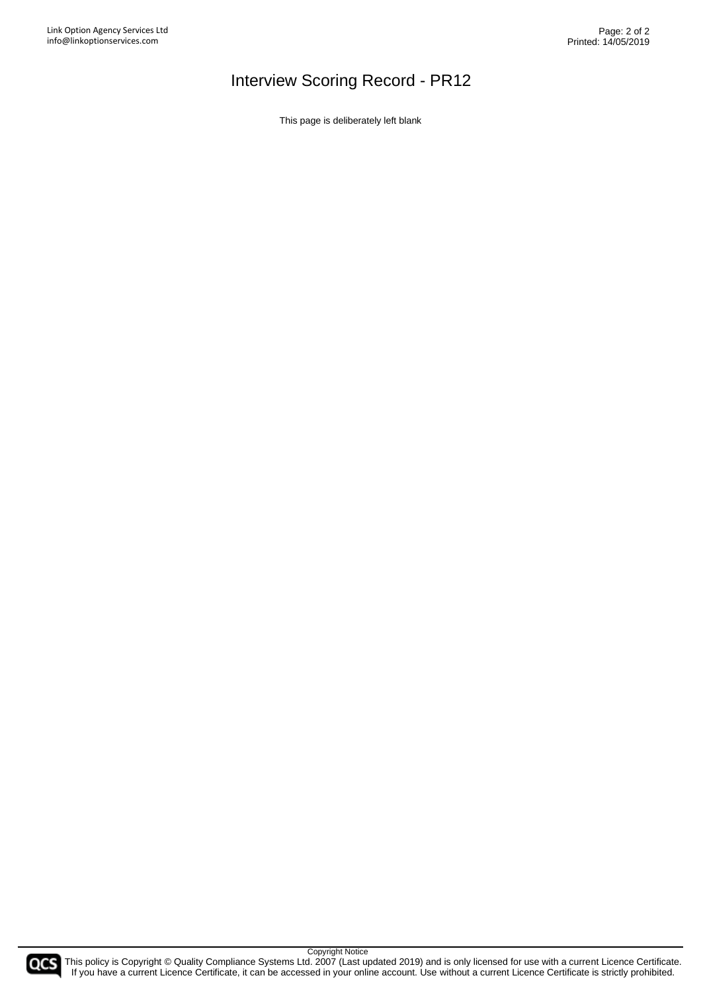# Interview Scoring Record - PR12

This page is deliberately left blank

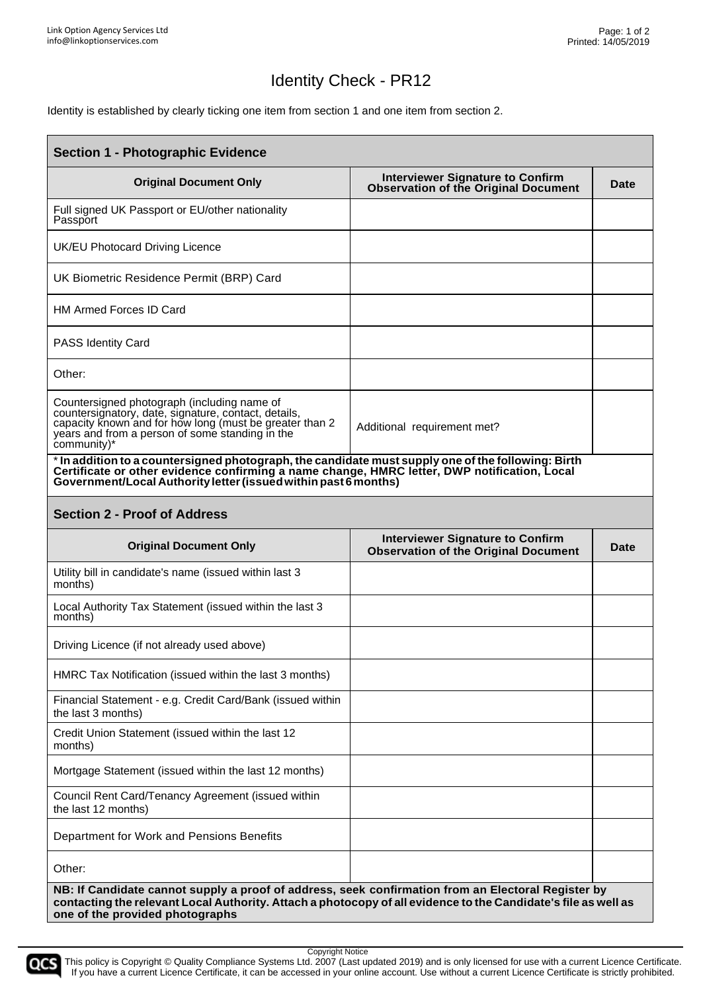# Identity Check - PR12

Identity is established by clearly ticking one item from section 1 and one item from section 2.

| <b>Section 1 - Photographic Evidence</b>                                                                                                                                                                                                                              |                                                                                        |      |  |
|-----------------------------------------------------------------------------------------------------------------------------------------------------------------------------------------------------------------------------------------------------------------------|----------------------------------------------------------------------------------------|------|--|
| <b>Original Document Only</b>                                                                                                                                                                                                                                         | <b>Interviewer Signature to Confirm</b><br><b>Observation of the Original Document</b> | Date |  |
| Full signed UK Passport or EU/other nationality<br>Passport                                                                                                                                                                                                           |                                                                                        |      |  |
| UK/EU Photocard Driving Licence                                                                                                                                                                                                                                       |                                                                                        |      |  |
| UK Biometric Residence Permit (BRP) Card                                                                                                                                                                                                                              |                                                                                        |      |  |
| <b>HM Armed Forces ID Card</b>                                                                                                                                                                                                                                        |                                                                                        |      |  |
| <b>PASS Identity Card</b>                                                                                                                                                                                                                                             |                                                                                        |      |  |
| Other:                                                                                                                                                                                                                                                                |                                                                                        |      |  |
| Countersigned photograph (including name of<br>countersignatory, date, signature, contact, details,<br>capacity Known and for how long (must be greater than 2<br>years and from a person of some standing in the<br>community)*                                      | Additional requirement met?                                                            |      |  |
| * In addition to a countersigned photograph, the candidate must supply one of the following: Birth<br>Certificate or other evidence confirming a name change, HMRC letter, DWP notification, Local<br>Government/Local Authority letter (issued within past 6 months) |                                                                                        |      |  |
| <b>Section 2 - Proof of Address</b>                                                                                                                                                                                                                                   |                                                                                        |      |  |
| <b>Original Document Only</b>                                                                                                                                                                                                                                         | <b>Interviewer Signature to Confirm</b><br><b>Observation of the Original Document</b> | Date |  |
| Utility bill in candidate's name (issued within last 3<br>months)                                                                                                                                                                                                     |                                                                                        |      |  |
| Local Authority Tax Statement (issued within the last 3<br>months)                                                                                                                                                                                                    |                                                                                        |      |  |
| Driving Licence (if not already used above)                                                                                                                                                                                                                           |                                                                                        |      |  |
| HMRC Tax Notification (issued within the last 3 months)                                                                                                                                                                                                               |                                                                                        |      |  |
| Financial Statement - e.g. Credit Card/Bank (issued within<br>the last 3 months)                                                                                                                                                                                      |                                                                                        |      |  |
| Credit Union Statement (issued within the last 12<br>months)                                                                                                                                                                                                          |                                                                                        |      |  |
| Mortgage Statement (issued within the last 12 months)                                                                                                                                                                                                                 |                                                                                        |      |  |
| Council Rent Card/Tenancy Agreement (issued within<br>the last 12 months)                                                                                                                                                                                             |                                                                                        |      |  |
| Department for Work and Pensions Benefits                                                                                                                                                                                                                             |                                                                                        |      |  |
| Other:                                                                                                                                                                                                                                                                |                                                                                        |      |  |
| NB: If Candidate cannot supply a proof of address, seek confirmation from an Electoral Register by<br>contacting the relevant Local Authority. Attach a photocopy of all evidence to the Candidate's file as well as<br>one of the provided photographs               |                                                                                        |      |  |

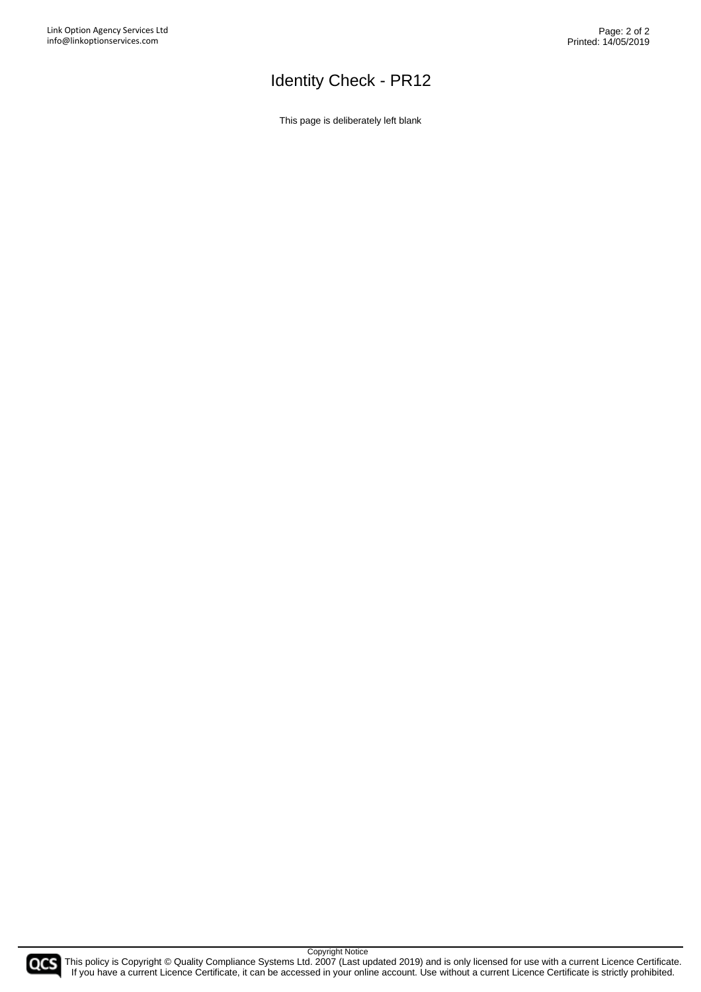# Identity Check - PR12

This page is deliberately left blank

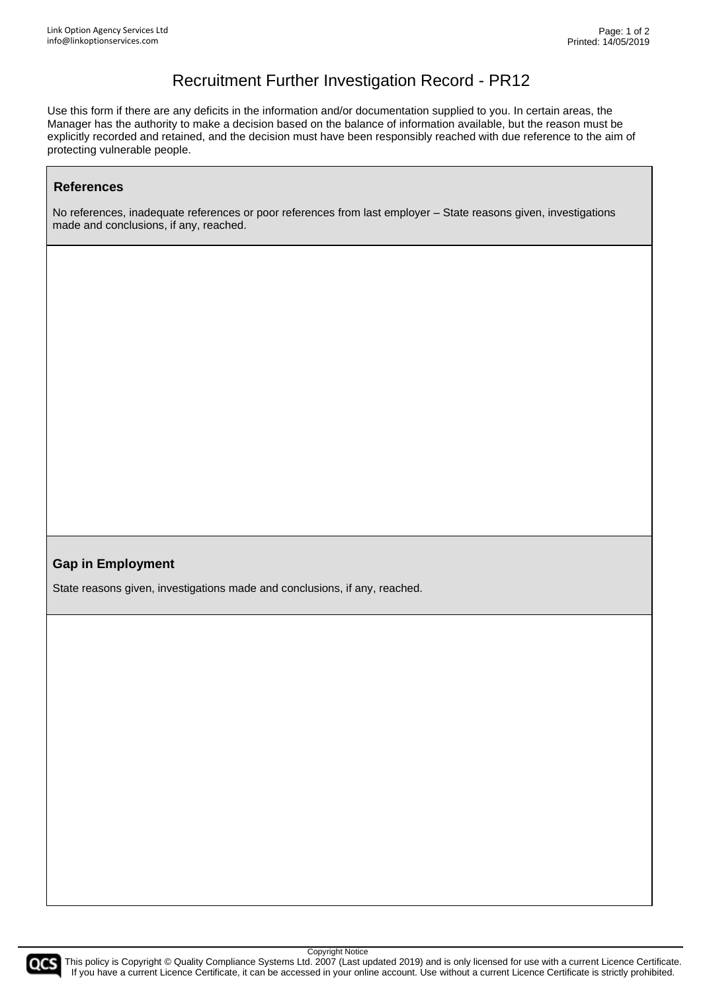### Recruitment Further Investigation Record - PR12

Use this form if there are any deficits in the information and/or documentation supplied to you. In certain areas, the Manager has the authority to make a decision based on the balance of information available, but the reason must be explicitly recorded and retained, and the decision must have been responsibly reached with due reference to the aim of protecting vulnerable people.

#### **References**

No references, inadequate references or poor references from last employer – State reasons given, investigations made and conclusions, if any, reached.

### **Gap in Employment**

State reasons given, investigations made and conclusions, if any, reached.

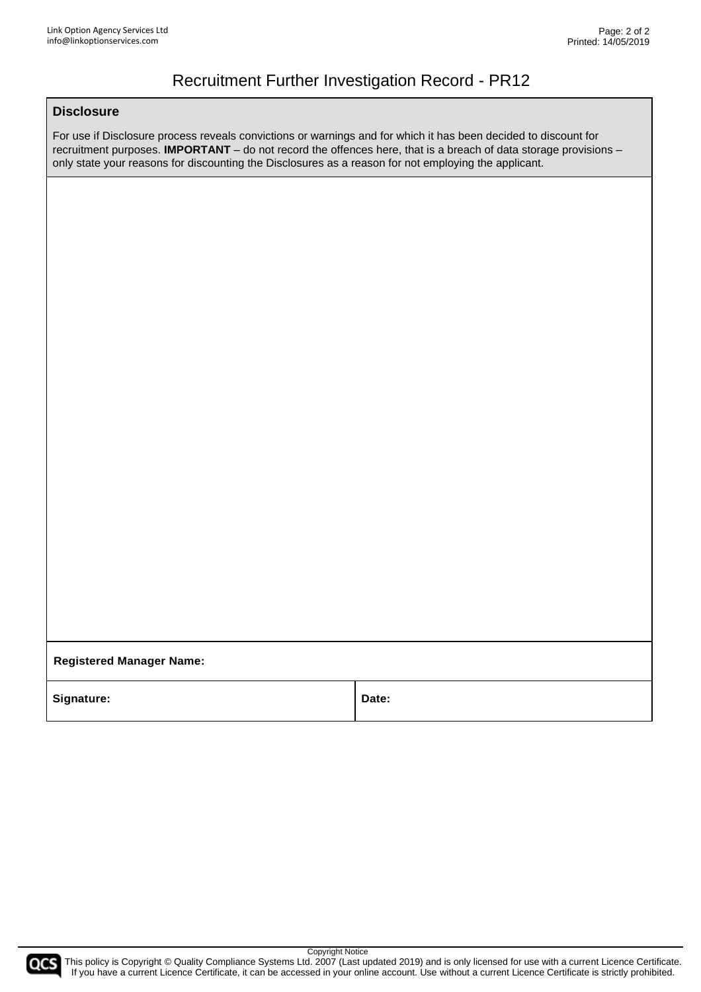### Recruitment Further Investigation Record - PR12

#### **Disclosure**

For use if Disclosure process reveals convictions or warnings and for which it has been decided to discount for recruitment purposes. **IMPORTANT** – do not record the offences here, that is a breach of data storage provisions – only state your reasons for discounting the Disclosures as a reason for not employing the applicant.

**Registered Manager Name:**

Signature: **Date: Date: Date:** 

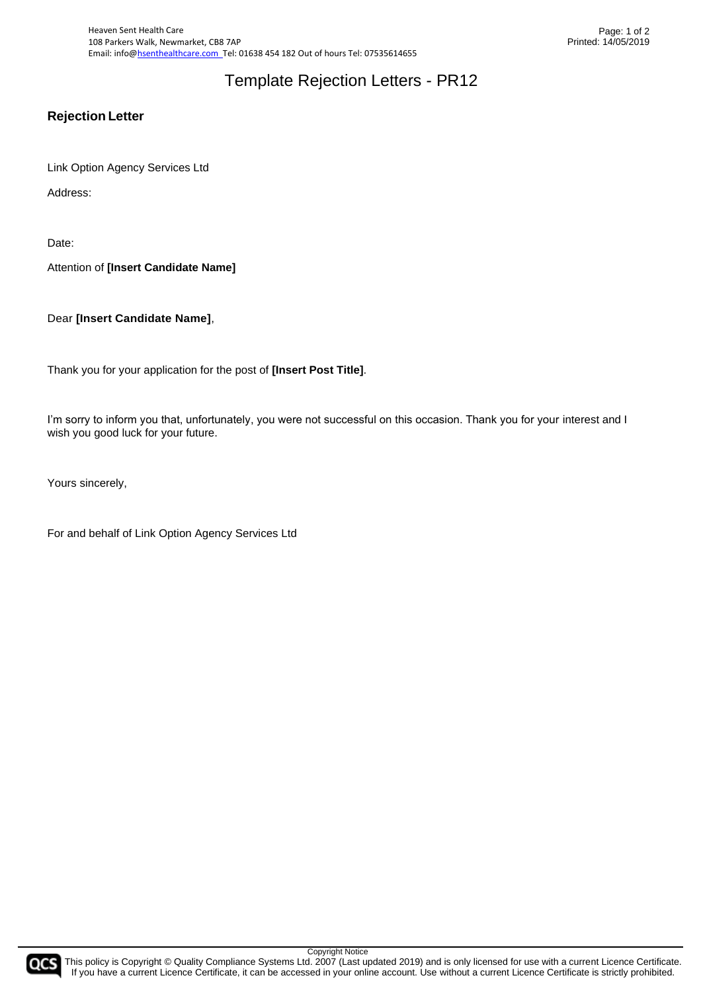Heaven Sent Health Care 108 Parkers Walk, Newmarket, CB8 7AP Email: info@hsenthealthcare.com\_Tel: 01638 454 182 Out of hours Tel: 07535614655

### Template Rejection Letters - PR12

### **Rejection Letter**

Link Option Agency Services Ltd

Address:

Date:

Attention of **[Insert Candidate Name]**

Dear **[Insert Candidate Name]**,

Thank you for your application for the post of **[Insert Post Title]**.

I'm sorry to inform you that, unfortunately, you were not successful on this occasion. Thank you for your interest and I wish you good luck for your future.

Yours sincerely,

For and behalf of Link Option Agency Services Ltd

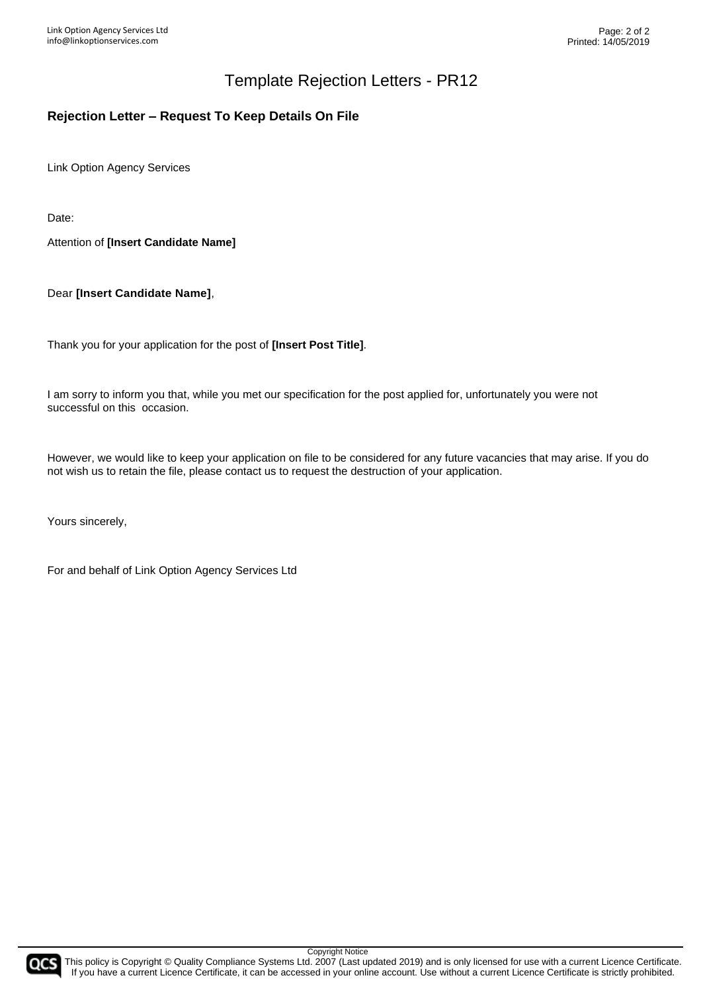### Template Rejection Letters - PR12

### **Rejection Letter – Request To Keep Details On File**

Link Option Agency Services

Date:

Attention of **[Insert Candidate Name]**

Dear **[Insert Candidate Name]**,

Thank you for your application for the post of **[Insert Post Title]**.

I am sorry to inform you that, while you met our specification for the post applied for, unfortunately you were not successful on this occasion.

However, we would like to keep your application on file to be considered for any future vacancies that may arise. If you do not wish us to retain the file, please contact us to request the destruction of your application.

Yours sincerely,

For and behalf of Link Option Agency Services Ltd

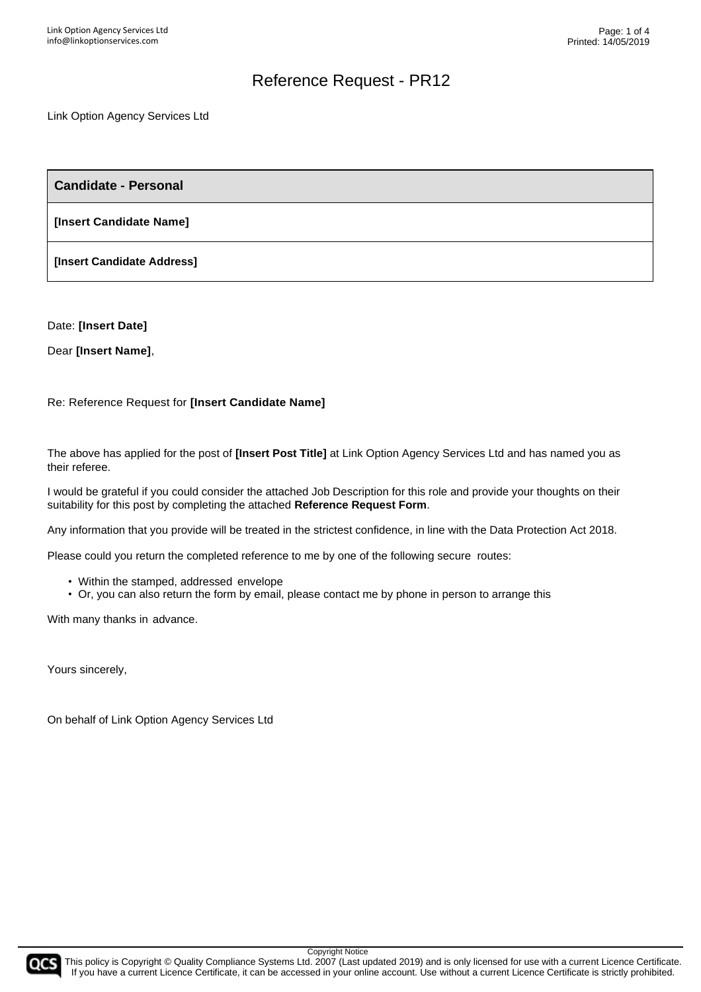#### Link Option Agency Services Ltd

**Candidate - Personal**

**[Insert Candidate Name]**

**[Insert Candidate Address]**

Date: **[Insert Date]**

Dear **[Insert Name]**,

Re: Reference Request for **[Insert Candidate Name]**

The above has applied for the post of **[Insert Post Title]** at Link Option Agency Services Ltd and has named you as their referee.

I would be grateful if you could consider the attached Job Description for this role and provide your thoughts on their suitability for this post by completing the attached **Reference Request Form**.

Any information that you provide will be treated in the strictest confidence, in line with the Data Protection Act 2018.

Please could you return the completed reference to me by one of the following secure routes:

- Within the stamped, addressed envelope
- Or, you can also return the form by email, please contact me by phone in person to arrange this

With many thanks in advance.

Yours sincerely,

On behalf of Link Option Agency Services Ltd



Copyright Notice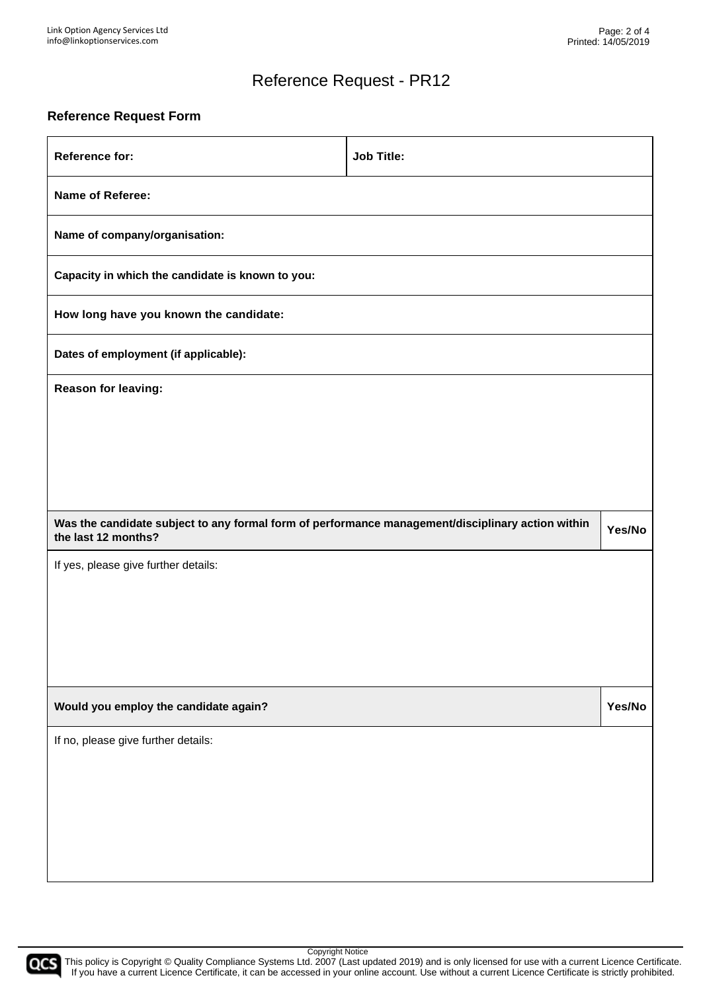#### **Reference Request Form**

| <b>Reference for:</b>                                                                             | <b>Job Title:</b> |        |
|---------------------------------------------------------------------------------------------------|-------------------|--------|
| Name of Referee:                                                                                  |                   |        |
| Name of company/organisation:                                                                     |                   |        |
| Capacity in which the candidate is known to you:                                                  |                   |        |
| How long have you known the candidate:                                                            |                   |        |
| Dates of employment (if applicable):                                                              |                   |        |
| Reason for leaving:                                                                               |                   |        |
|                                                                                                   |                   |        |
|                                                                                                   |                   |        |
|                                                                                                   |                   |        |
| Was the candidate subject to any formal form of performance management/disciplinary action within |                   |        |
| the last 12 months?                                                                               |                   | Yes/No |
| If yes, please give further details:                                                              |                   |        |
|                                                                                                   |                   |        |
|                                                                                                   |                   |        |
|                                                                                                   |                   |        |
| Would you employ the candidate again?                                                             |                   | Yes/No |
| If no, please give further details:                                                               |                   |        |
|                                                                                                   |                   |        |
|                                                                                                   |                   |        |
|                                                                                                   |                   |        |

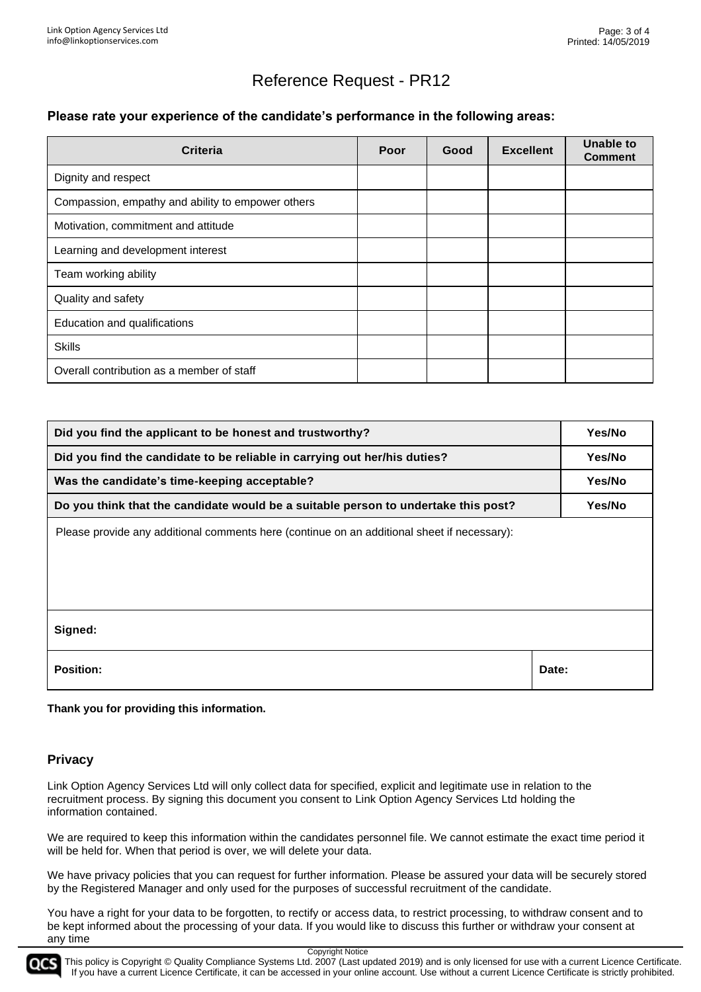#### **Please rate your experience of the candidate's performance in the following areas:**

| <b>Criteria</b>                                   | Poor | Good | <b>Excellent</b> | Unable to<br><b>Comment</b> |
|---------------------------------------------------|------|------|------------------|-----------------------------|
| Dignity and respect                               |      |      |                  |                             |
| Compassion, empathy and ability to empower others |      |      |                  |                             |
| Motivation, commitment and attitude               |      |      |                  |                             |
| Learning and development interest                 |      |      |                  |                             |
| Team working ability                              |      |      |                  |                             |
| Quality and safety                                |      |      |                  |                             |
| Education and qualifications                      |      |      |                  |                             |
| <b>Skills</b>                                     |      |      |                  |                             |
| Overall contribution as a member of staff         |      |      |                  |                             |

| Did you find the applicant to be honest and trustworthy?                                    | Yes/No |
|---------------------------------------------------------------------------------------------|--------|
| Did you find the candidate to be reliable in carrying out her/his duties?                   | Yes/No |
| Was the candidate's time-keeping acceptable?                                                | Yes/No |
| Do you think that the candidate would be a suitable person to undertake this post?          | Yes/No |
| Please provide any additional comments here (continue on an additional sheet if necessary): |        |
| Signed:                                                                                     |        |
| <b>Position:</b>                                                                            | Date:  |

**Thank you for providing this information.**

#### **Privacy**

Link Option Agency Services Ltd will only collect data for specified, explicit and legitimate use in relation to the recruitment process. By signing this document you consent to Link Option Agency Services Ltd holding the information contained.

We are required to keep this information within the candidates personnel file. We cannot estimate the exact time period it will be held for. When that period is over, we will delete your data.

We have privacy policies that you can request for further information. Please be assured your data will be securely stored by the Registered Manager and only used for the purposes of successful recruitment of the candidate.

You have a right for your data to be forgotten, to rectify or access data, to restrict processing, to withdraw consent and to be kept informed about the processing of your data. If you would like to discuss this further or withdraw your consent at any time

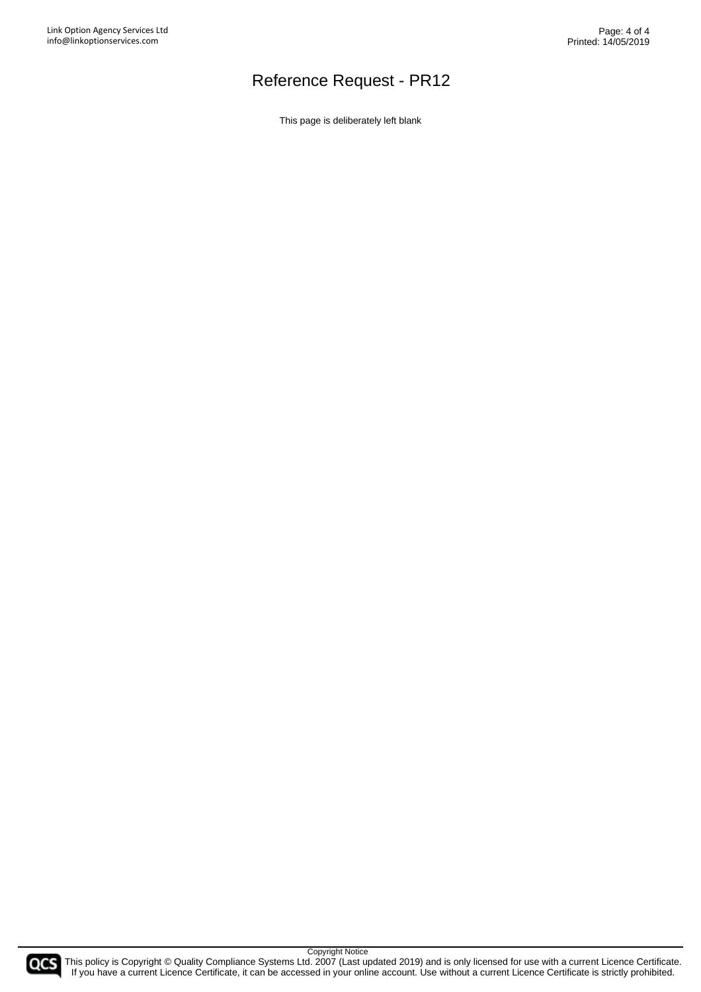This page is deliberately left blank

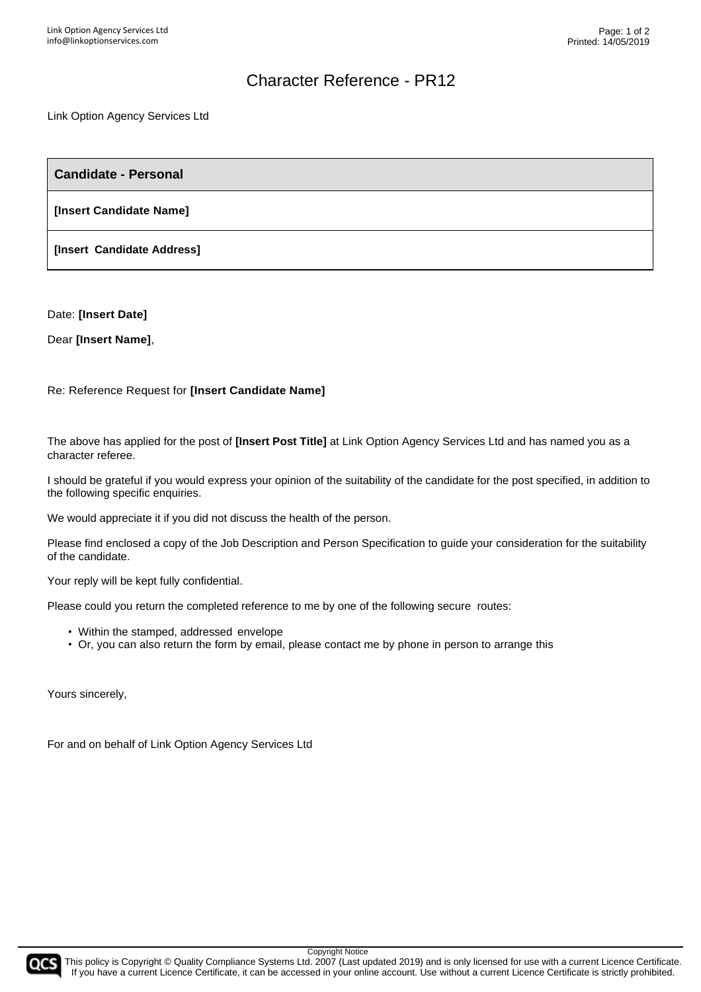### Character Reference - PR12

Link Option Agency Services Ltd

**Candidate - Personal**

**[Insert Candidate Name]**

**[Insert Candidate Address]**

Date: **[Insert Date]**

Dear **[Insert Name]**,

Re: Reference Request for **[Insert Candidate Name]**

The above has applied for the post of **[Insert Post Title]** at Link Option Agency Services Ltd and has named you as a character referee.

I should be grateful if you would express your opinion of the suitability of the candidate for the post specified, in addition to the following specific enquiries.

We would appreciate it if you did not discuss the health of the person.

Please find enclosed a copy of the Job Description and Person Specification to guide your consideration for the suitability of the candidate.

Your reply will be kept fully confidential.

Please could you return the completed reference to me by one of the following secure routes:

- Within the stamped, addressed envelope
- Or, you can also return the form by email, please contact me by phone in person to arrange this

Yours sincerely,

For and on behalf of Link Option Agency Services Ltd



Copyright Notice